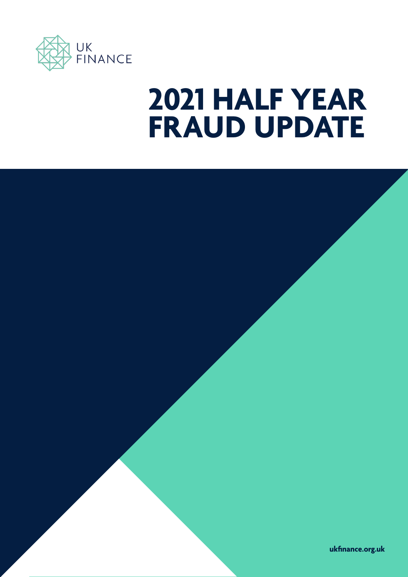

# **2021 HALF YEAR FRAUD UPDATE**

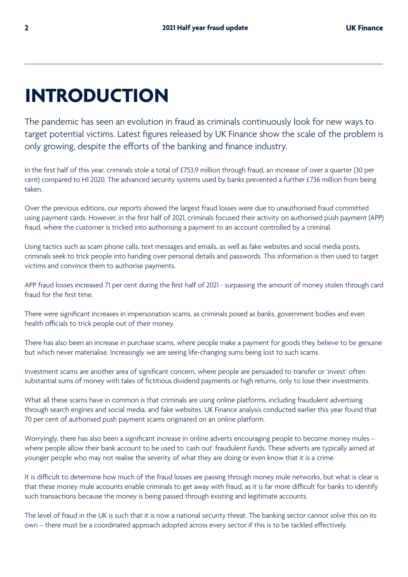## **INTRODUCTION**

The pandemic has seen an evolution in fraud as criminals continuously look for new ways to target potential victims. Latest figures released by UK Finance show the scale of the problem is only growing, despite the efforts of the banking and finance industry.

In the first half of this year, criminals stole a total of £753.9 million through fraud, an increase of over a quarter (30 per cent) compared to H1 2020. The advanced security systems used by banks prevented a further £736 million from being taken.

Over the previous editions, our reports showed the largest fraud losses were due to unauthorised fraud committed using payment cards. However, in the first half of 2021, criminals focused their activity on authorised push payment (APP) fraud, where the customer is tricked into authorising a payment to an account controlled by a criminal.

Using tactics such as scam phone calls, text messages and emails, as well as fake websites and social media posts, criminals seek to trick people into handing over personal details and passwords. This information is then used to target victims and convince them to authorise payments.

APP fraud losses increased 71 per cent during the first half of 2021 - surpassing the amount of money stolen through card fraud for the first time.

There were significant increases in impersonation scams, as criminals posed as banks, government bodies and even health officials to trick people out of their money.

There has also been an increase in purchase scams, where people make a payment for goods they believe to be genuine but which never materialise. Increasingly we are seeing life-changing sums being lost to such scams.

Investment scams are another area of significant concern, where people are persuaded to transfer or 'invest' often substantial sums of money with tales of fictitious dividend payments or high returns, only to lose their investments.

What all these scams have in common is that criminals are using online platforms, including fraudulent advertising through search engines and social media, and fake websites. UK Finance analysis conducted earlier this year found that 70 per cent of authorised push payment scams originated on an online platform.

Worryingly, there has also been a significant increase in online adverts encouraging people to become money mules – where people allow their bank account to be used to 'cash out' fraudulent funds. These adverts are typically aimed at younger people who may not realise the severity of what they are doing or even know that it is a crime.

It is difficult to determine how much of the fraud losses are passing through money mule networks, but what is clear is that these money mule accounts enable criminals to get away with fraud, as it is far more difficult for banks to identify such transactions because the money is being passed through existing and legitimate accounts.

The level of fraud in the UK is such that it is now a national security threat. The banking sector cannot solve this on its own – there must be a coordinated approach adopted across every sector if this is to be tackled effectively.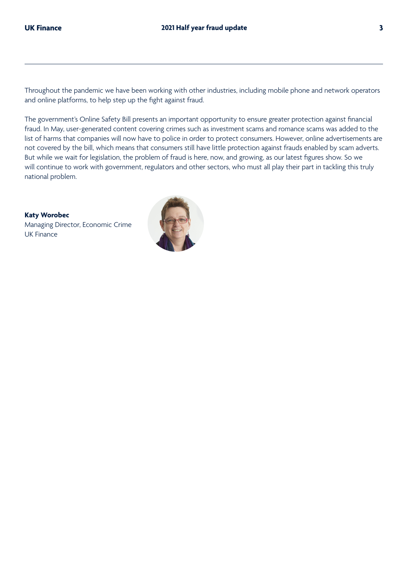Throughout the pandemic we have been working with other industries, including mobile phone and network operators and online platforms, to help step up the fight against fraud.

The government's Online Safety Bill presents an important opportunity to ensure greater protection against financial fraud. In May, user-generated content covering crimes such as investment scams and romance scams was added to the list of harms that companies will now have to police in order to protect consumers. However, online advertisements are not covered by the bill, which means that consumers still have little protection against frauds enabled by scam adverts. But while we wait for legislation, the problem of fraud is here, now, and growing, as our latest figures show. So we will continue to work with government, regulators and other sectors, who must all play their part in tackling this truly national problem.

**Katy Worobec** Managing Director, Economic Crime UK Finance

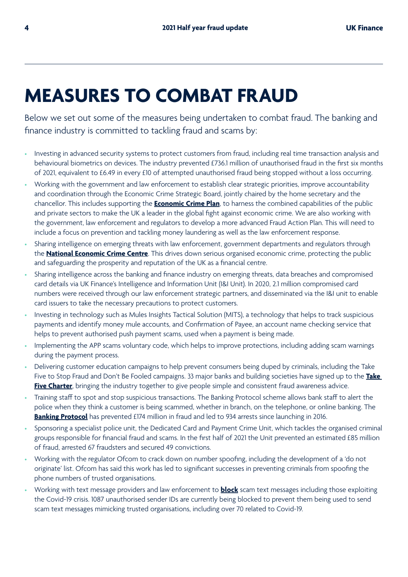## **MEASURES TO COMBAT FRAUD**

Below we set out some of the measures being undertaken to combat fraud. The banking and finance industry is committed to tackling fraud and scams by:

- Investing in advanced security systems to protect customers from fraud, including real time transaction analysis and behavioural biometrics on devices. The industry prevented £736.1 million of unauthorised fraud in the first six months of 2021, equivalent to £6.49 in every £10 of attempted unauthorised fraud being stopped without a loss occurring.
- Working with the government and law enforcement to establish clear strategic priorities, improve accountability and coordination through the Economic Crime Strategic Board, jointly chaired by the home secretary and the chancellor. This includes supporting the **[Economic Crime Plan](https://www.gov.uk/government/news/criminals-to-face-fresh-crackdown-in-fight-against-dirty-money)**, to harness the combined capabilities of the public and private sectors to make the UK a leader in the global fight against economic crime. We are also working with the government, law enforcement and regulators to develop a more advanced Fraud Action Plan. This will need to include a focus on prevention and tackling money laundering as well as the law enforcement response.
- Sharing intelligence on emerging threats with law enforcement, government departments and regulators through the **[National Economic Crime Centre](https://www.nationalcrimeagency.gov.uk/what-we-do/national-economic-crime-centre)**. This drives down serious organised economic crime, protecting the public and safeguarding the prosperity and reputation of the UK as a financial centre.
- Sharing intelligence across the banking and finance industry on emerging threats, data breaches and compromised card details via UK Finance's Intelligence and Information Unit (I&I Unit). In 2020, 2.1 million compromised card numbers were received through our law enforcement strategic partners, and disseminated via the I&I unit to enable card issuers to take the necessary precautions to protect customers.
- Investing in technology such as Mules Insights Tactical Solution (MITS), a technology that helps to track suspicious payments and identify money mule accounts, and Confirmation of Payee, an account name checking service that helps to prevent authorised push payment scams, used when a payment is being made.
- Implementing the APP scams voluntary code, which helps to improve protections, including adding scam warnings during the payment process.
- Delivering customer education campaigns to help prevent consumers being duped by criminals, including the Take Five to Stop Fraud and Don't Be Fooled campaigns. 33 major banks and building societies have signed up to the **[Take](https://takefive-stopfraud.org.uk/news/eight-in-ten-brits-would-be-embarrassed-to-admit-they-fell-for-a-scam/)  [Five Charter](https://takefive-stopfraud.org.uk/news/eight-in-ten-brits-would-be-embarrassed-to-admit-they-fell-for-a-scam/)**, bringing the industry together to give people simple and consistent fraud awareness advice.
- Training staff to spot and stop suspicious transactions. The Banking Protocol scheme allows bank staff to alert the police when they think a customer is being scammed, whether in branch, on the telephone, or online banking. The **[Banking Protocol](https://www.ukfinance.org.uk/press/press-releases/%C2%A332-million-fraud-stopped-finance-industry-and-police-first-half-2021)** has prevented £174 million in fraud and led to 934 arrests since launching in 2016.
- Sponsoring a specialist police unit, the Dedicated Card and Payment Crime Unit, which tackles the organised criminal groups responsible for financial fraud and scams. In the first half of 2021 the Unit prevented an estimated £85 million of fraud, arrested 67 fraudsters and secured 49 convictions.
- Working with the regulator Ofcom to crack down on number spoofing, including the development of a 'do not originate' list. Ofcom has said this work has led to significant successes in preventing criminals from spoofing the phone numbers of trusted organisations.
- Working with text message providers and law enforcement to **[block](https://www.ukfinance.org.uk/press/press-releases/banking-and-mobile-industries-unite-to-tackle-Covid-19-text-message-scams)** scam text messages including those exploiting the Covid-19 crisis. 1087 unauthorised sender IDs are currently being blocked to prevent them being used to send scam text messages mimicking trusted organisations, including over 70 related to Covid-19.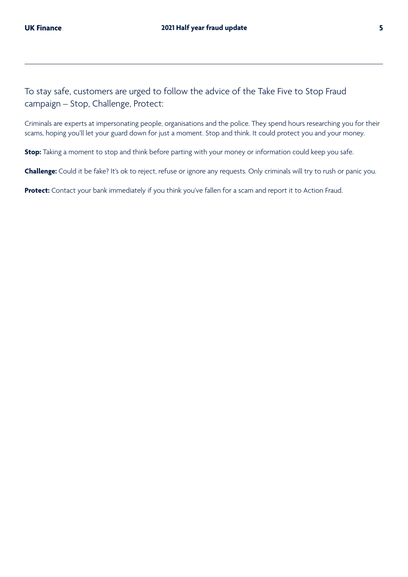Criminals are experts at impersonating people, organisations and the police. They spend hours researching you for their scams, hoping you'll let your guard down for just a moment. Stop and think. It could protect you and your money.

**Stop:** Taking a moment to stop and think before parting with your money or information could keep you safe.

**Challenge:** Could it be fake? It's ok to reject, refuse or ignore any requests. Only criminals will try to rush or panic you.

**Protect:** Contact your bank immediately if you think you've fallen for a scam and report it to Action Fraud.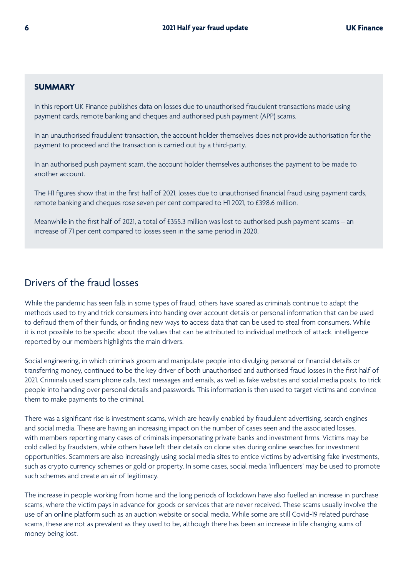#### **SUMMARY**

In this report UK Finance publishes data on losses due to unauthorised fraudulent transactions made using payment cards, remote banking and cheques and authorised push payment (APP) scams.

In an unauthorised fraudulent transaction, the account holder themselves does not provide authorisation for the payment to proceed and the transaction is carried out by a third-party.

In an authorised push payment scam, the account holder themselves authorises the payment to be made to another account.

The H1 figures show that in the first half of 2021, losses due to unauthorised financial fraud using payment cards, remote banking and cheques rose seven per cent compared to H1 2021, to £398.6 million.

Meanwhile in the first half of 2021, a total of £355.3 million was lost to authorised push payment scams – an increase of 71 per cent compared to losses seen in the same period in 2020.

## Drivers of the fraud losses

While the pandemic has seen falls in some types of fraud, others have soared as criminals continue to adapt the methods used to try and trick consumers into handing over account details or personal information that can be used to defraud them of their funds, or finding new ways to access data that can be used to steal from consumers. While it is not possible to be specific about the values that can be attributed to individual methods of attack, intelligence reported by our members highlights the main drivers.

Social engineering, in which criminals groom and manipulate people into divulging personal or financial details or transferring money, continued to be the key driver of both unauthorised and authorised fraud losses in the first half of 2021. Criminals used scam phone calls, text messages and emails, as well as fake websites and social media posts, to trick people into handing over personal details and passwords. This information is then used to target victims and convince them to make payments to the criminal.

There was a significant rise is investment scams, which are heavily enabled by fraudulent advertising, search engines and social media. These are having an increasing impact on the number of cases seen and the associated losses, with members reporting many cases of criminals impersonating private banks and investment firms. Victims may be cold called by fraudsters, while others have left their details on clone sites during online searches for investment opportunities. Scammers are also increasingly using social media sites to entice victims by advertising fake investments, such as crypto currency schemes or gold or property. In some cases, social media 'influencers' may be used to promote such schemes and create an air of legitimacy.

The increase in people working from home and the long periods of lockdown have also fuelled an increase in purchase scams, where the victim pays in advance for goods or services that are never received. These scams usually involve the use of an online platform such as an auction website or social media. While some are still Covid-19 related purchase scams, these are not as prevalent as they used to be, although there has been an increase in life changing sums of money being lost.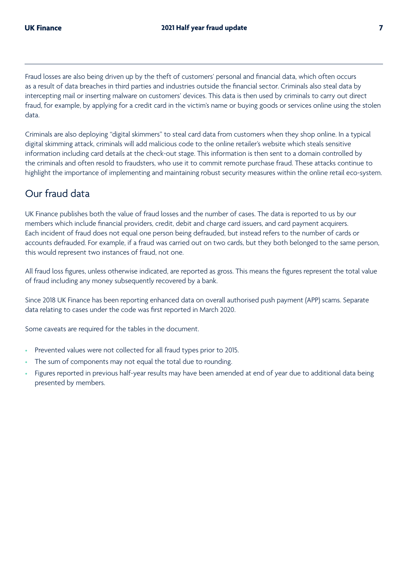Fraud losses are also being driven up by the theft of customers' personal and financial data, which often occurs as a result of data breaches in third parties and industries outside the financial sector. Criminals also steal data by intercepting mail or inserting malware on customers' devices. This data is then used by criminals to carry out direct fraud, for example, by applying for a credit card in the victim's name or buying goods or services online using the stolen data.

Criminals are also deploying "digital skimmers" to steal card data from customers when they shop online. In a typical digital skimming attack, criminals will add malicious code to the online retailer's website which steals sensitive information including card details at the check-out stage. This information is then sent to a domain controlled by the criminals and often resold to fraudsters, who use it to commit remote purchase fraud. These attacks continue to highlight the importance of implementing and maintaining robust security measures within the online retail eco-system.

## Our fraud data

UK Finance publishes both the value of fraud losses and the number of cases. The data is reported to us by our members which include financial providers, credit, debit and charge card issuers, and card payment acquirers. Each incident of fraud does not equal one person being defrauded, but instead refers to the number of cards or accounts defrauded. For example, if a fraud was carried out on two cards, but they both belonged to the same person, this would represent two instances of fraud, not one.

All fraud loss figures, unless otherwise indicated, are reported as gross. This means the figures represent the total value of fraud including any money subsequently recovered by a bank.

Since 2018 UK Finance has been reporting enhanced data on overall authorised push payment (APP) scams. Separate data relating to cases under the code was first reported in March 2020.

Some caveats are required for the tables in the document.

- Prevented values were not collected for all fraud types prior to 2015.
- The sum of components may not equal the total due to rounding.
- Figures reported in previous half-year results may have been amended at end of year due to additional data being presented by members.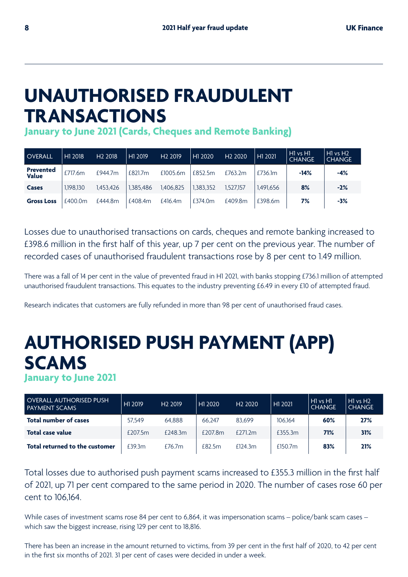## **UNAUTHORISED FRAUDULENT TRANSACTIONS**

**January to June 2021 (Cards, Cheques and Remote Banking)**

| <b>OVERALL</b>            | H1 2018   | H <sub>2</sub> 2018 | H1 2019   | H <sub>2</sub> 2019 | H1 2020   | H <sub>2</sub> 2020 | H1 2021   | $H1$ vs $H1$<br><b>CHANGE</b> | $H1$ vs $H2$<br><b>CHANGE</b> |
|---------------------------|-----------|---------------------|-----------|---------------------|-----------|---------------------|-----------|-------------------------------|-------------------------------|
| <b>Prevented</b><br>Value | £717.6m   | £944.7m             | £821.7m   | £1005.6m            | £852.5m   | £763.2m             | £736.1m   | $-14%$                        | $-4%$                         |
| <b>Cases</b>              | 1.198.130 | 1.453.426           | 1.385.486 | 1.406.825           | 1.383.352 | 1.527.157           | 1.491.656 | 8%                            | $-2%$                         |
| <b>Gross Loss</b>         | £400.0m   | £444.8m             | £408.4m   | £416.4m             | £374.0m   | £409.8m             | £398.6m   | 7%                            | $-3%$                         |

Losses due to unauthorised transactions on cards, cheques and remote banking increased to £398.6 million in the first half of this year, up 7 per cent on the previous year. The number of recorded cases of unauthorised fraudulent transactions rose by 8 per cent to 1.49 million.

There was a fall of 14 per cent in the value of prevented fraud in H1 2021, with banks stopping £736.1 million of attempted unauthorised fraudulent transactions. This equates to the industry preventing £6.49 in every £10 of attempted fraud.

Research indicates that customers are fully refunded in more than 98 per cent of unauthorised fraud cases.

## **AUTHORISED PUSH PAYMENT (APP) SCAMS January to June 2021**

| <b>OVERALL AUTHORISED PUSH</b><br><b>PAYMENT SCAMS</b> | H1 2019 | H <sub>2</sub> 2019 | H1 2020 | H <sub>2</sub> 2020 | H1 2021             | HI vs HI<br><b>CHANGE</b> | H1 vs H2<br><b>CHANGE</b> |
|--------------------------------------------------------|---------|---------------------|---------|---------------------|---------------------|---------------------------|---------------------------|
| <b>Total number of cases</b>                           | 57.549  | 64.888              | 66.247  | 83.699              | 106.164             | 60%                       | 27%                       |
| <b>Total case value</b>                                | £207.5m | $f$ 248.3 $m$       | £207.8m | $f$ 271.2m          | £355.3m             | 71%                       | 31%                       |
| Total returned to the customer                         | £39.3m  | £76.7 $m$           | f82.5m  | f124.3m             | £150.7 <sub>m</sub> | 83%                       | 21%                       |

Total losses due to authorised push payment scams increased to £355.3 million in the first half of 2021, up 71 per cent compared to the same period in 2020. The number of cases rose 60 per cent to 106,164.

While cases of investment scams rose 84 per cent to 6,864, it was impersonation scams – police/bank scam cases – which saw the biggest increase, rising 129 per cent to 18,816.

There has been an increase in the amount returned to victims, from 39 per cent in the first half of 2020, to 42 per cent in the first six months of 2021. 31 per cent of cases were decided in under a week.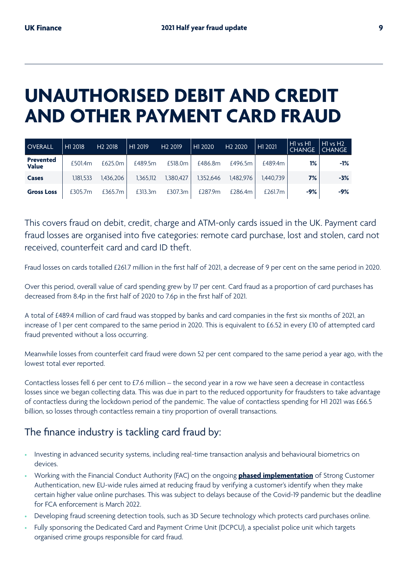## **UNAUTHORISED DEBIT AND CREDIT AND OTHER PAYMENT CARD FRAUD**

| <b>OVERALL</b>            | H1 2018   | H <sub>2</sub> 2018 | H1 2019   | H <sub>2</sub> 2019 | H1 2020   | H <sub>2</sub> 2020 | H1 2021    | H <sub>1</sub> vs H <sub>1</sub><br><b>CHANGE</b> | $H1$ vs $H2$<br>CHANGE |
|---------------------------|-----------|---------------------|-----------|---------------------|-----------|---------------------|------------|---------------------------------------------------|------------------------|
| <b>Prevented</b><br>Value | £501.4m   | £625.0m             | £489.5m   | £518.0m             | £486.8m   | £496.5m             | £489.4m    | 1%                                                | $-1%$                  |
| <b>Cases</b>              | 1.181.533 | 1.436.206           | 1,365,112 | 1,380,427           | 1.352.646 | 1.482.976           | 1.440.739  | 7%                                                | $-3%$                  |
| <b>Gross Loss</b>         | £305.7m   | £365.7m             | £313.3m   | £307.3m             | £287.9m   | £286.4m             | £261.7 $m$ | -9%                                               | $-9%$                  |

This covers fraud on debit, credit, charge and ATM-only cards issued in the UK. Payment card fraud losses are organised into five categories: remote card purchase, lost and stolen, card not received, counterfeit card and card ID theft.

Fraud losses on cards totalled £261.7 million in the first half of 2021, a decrease of 9 per cent on the same period in 2020.

Over this period, overall value of card spending grew by 17 per cent. Card fraud as a proportion of card purchases has decreased from 8.4p in the first half of 2020 to 7.6p in the first half of 2021.

A total of £489.4 million of card fraud was stopped by banks and card companies in the first six months of 2021, an increase of 1 per cent compared to the same period in 2020. This is equivalent to £6.52 in every £10 of attempted card fraud prevented without a loss occurring.

Meanwhile losses from counterfeit card fraud were down 52 per cent compared to the same period a year ago, with the lowest total ever reported.

Contactless losses fell 6 per cent to £7.6 million – the second year in a row we have seen a decrease in contactless losses since we began collecting data. This was due in part to the reduced opportunity for fraudsters to take advantage of contactless during the lockdown period of the pandemic. The value of contactless spending for H1 2021 was £66.5 billion, so losses through contactless remain a tiny proportion of overall transactions.

## The finance industry is tackling card fraud by:

- Investing in advanced security systems, including real-time transaction analysis and behavioural biometrics on devices.
- Working with the Financial Conduct Authority (FAC) on the ongoing **[phased implementation](https://www.ukfinance.org.uk/press/press-releases/uk-finance-responds-fca-strong-customer-authentication-phased-implementation-plan)** of Strong Customer Authentication, new EU-wide rules aimed at reducing fraud by verifying a customer's identify when they make certain higher value online purchases. This was subject to delays because of the Covid-19 pandemic but the deadline for FCA enforcement is March 2022.
- Developing fraud screening detection tools, such as 3D Secure technology which protects card purchases online.
- Fully sponsoring the Dedicated Card and Payment Crime Unit (DCPCU), a specialist police unit which targets organised crime groups responsible for card fraud.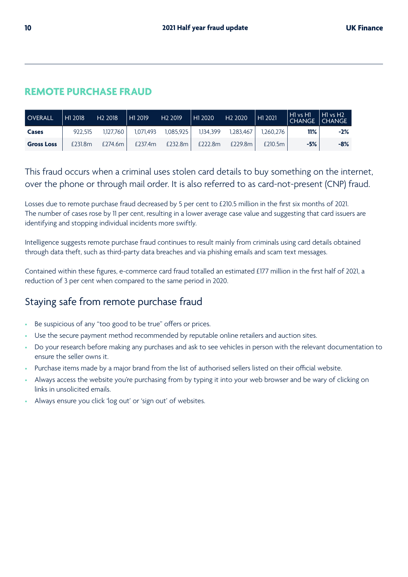## **REMOTE PURCHASE FRAUD**

| <b>OVERALL</b>    | H1 2018 | H <sub>2</sub> 2018 | H1 2019   | H <sub>2</sub> 2019 | H12020    | H <sub>2</sub> 2020 | H1 2021  | $\vert$ H1 vs H1<br><b>CHANGE</b> | $\vert$ H1 vs H2<br>$\mathsf{ICHANGE}$ |
|-------------------|---------|---------------------|-----------|---------------------|-----------|---------------------|----------|-----------------------------------|----------------------------------------|
| Cases             | 922.515 | 1.127.760           | 1.071.493 | 1.085.925           | 1.134.399 | 1.283.467           | .260.276 | 11%                               | $-2%$                                  |
| <b>Gross Loss</b> | £231.8m | £274.6m             | £237.4m   | £232.8m             | £222.8m   | £229.8m             | £210.5m  | $-5%$                             | $-8%$                                  |

This fraud occurs when a criminal uses stolen card details to buy something on the internet, over the phone or through mail order. It is also referred to as card-not-present (CNP) fraud.

Losses due to remote purchase fraud decreased by 5 per cent to £210.5 million in the first six months of 2021. The number of cases rose by 11 per cent, resulting in a lower average case value and suggesting that card issuers are identifying and stopping individual incidents more swiftly.

Intelligence suggests remote purchase fraud continues to result mainly from criminals using card details obtained through data theft, such as third-party data breaches and via phishing emails and scam text messages.

Contained within these figures, e-commerce card fraud totalled an estimated £177 million in the first half of 2021, a reduction of 3 per cent when compared to the same period in 2020.

## Staying safe from remote purchase fraud

- Be suspicious of any "too good to be true" offers or prices.
- Use the secure payment method recommended by reputable online retailers and auction sites.
- Do your research before making any purchases and ask to see vehicles in person with the relevant documentation to ensure the seller owns it.
- Purchase items made by a major brand from the list of authorised sellers listed on their official website.
- Always access the website you're purchasing from by typing it into your web browser and be wary of clicking on links in unsolicited emails.
- Always ensure you click 'log out' or 'sign out' of websites.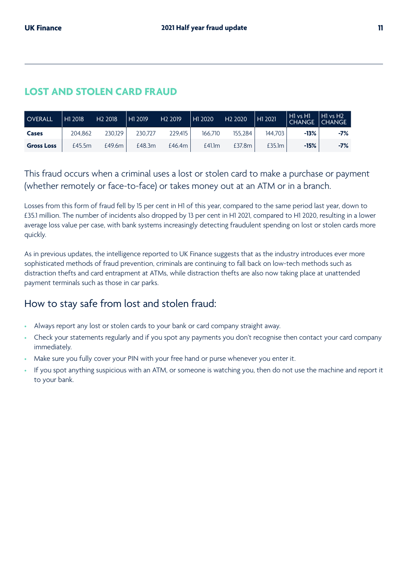## **LOST AND STOLEN CARD FRAUD**

| <b>OVERALL</b>    | H1 2018 | H <sub>2</sub> 2018 | H <sub>1</sub> 2019 | H <sub>2</sub> 2019 | H <sub>1</sub> 2020 | H <sub>2</sub> 2020 | H1 2021 | H <sub>1</sub> vs H <sub>1</sub><br><b>CHANGE</b> | $H1$ vs $H2$<br><b>CHANGE</b> |
|-------------------|---------|---------------------|---------------------|---------------------|---------------------|---------------------|---------|---------------------------------------------------|-------------------------------|
| Cases             | 204.862 | 230.129             | 230.727             | 229.415             | 166.710             | 155.284             | 144.703 | $-13%$                                            | -7%                           |
| <b>Gross Loss</b> | £45.5m  | £49.6m              | £48.3m              | £46.4 $m$           | £41.1m              | £37.8m              | £35.1m  | $-15%$                                            | -7%                           |

This fraud occurs when a criminal uses a lost or stolen card to make a purchase or payment (whether remotely or face-to-face) or takes money out at an ATM or in a branch.

Losses from this form of fraud fell by 15 per cent in H1 of this year, compared to the same period last year, down to £35.1 million. The number of incidents also dropped by 13 per cent in H1 2021, compared to H1 2020, resulting in a lower average loss value per case, with bank systems increasingly detecting fraudulent spending on lost or stolen cards more quickly.

As in previous updates, the intelligence reported to UK Finance suggests that as the industry introduces ever more sophisticated methods of fraud prevention, criminals are continuing to fall back on low-tech methods such as distraction thefts and card entrapment at ATMs, while distraction thefts are also now taking place at unattended payment terminals such as those in car parks.

## How to stay safe from lost and stolen fraud:

- Always report any lost or stolen cards to your bank or card company straight away.
- Check your statements regularly and if you spot any payments you don't recognise then contact your card company immediately.
- Make sure you fully cover your PIN with your free hand or purse whenever you enter it.
- If you spot anything suspicious with an ATM, or someone is watching you, then do not use the machine and report it to your bank.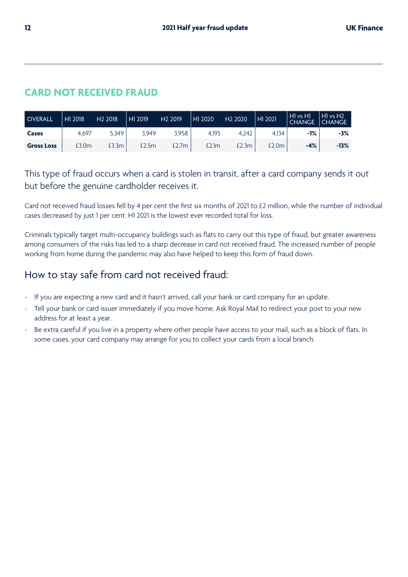## **CARD NOT RECEIVED FRAUD**

| <b>OVERALL</b>    | H1 2018 | H <sub>2</sub> 2018 | HI 2019 | H <sub>2</sub> 2019 | H1 2020 | H <sub>2</sub> 2020 | H <sub>1</sub> 2021 | $\parallel$ H1 vs H1<br><b>CHANGE</b> | H1 vs H2<br>l CHANGE |
|-------------------|---------|---------------------|---------|---------------------|---------|---------------------|---------------------|---------------------------------------|----------------------|
| Cases             | 4.697   | 5,349               | 3.949   | 3,958               | 4.193   | 4.242               | 4.134               | -1%                                   | -3%                  |
| <b>Gross Loss</b> | £3.0m   | £3.3m               | £2.5m   | £2.7m               | £2.1m   | £2.3m               | £2.0m               | $-4%$                                 | $-13%$               |

This type of fraud occurs when a card is stolen in transit, after a card company sends it out but before the genuine cardholder receives it.

Card not received fraud losses fell by 4 per cent the first six months of 2021 to £2 million, while the number of individual cases decreased by just 1 per cent. H1 2021 is the lowest ever recorded total for loss.

Criminals typically target multi-occupancy buildings such as flats to carry out this type of fraud, but greater awareness among consumers of the risks has led to a sharp decrease in card not received fraud. The increased number of people working from home during the pandemic may also have helped to keep this form of fraud down.

## How to stay safe from card not received fraud:

- If you are expecting a new card and it hasn't arrived, call your bank or card company for an update.
- Tell your bank or card issuer immediately if you move home. Ask Royal Mail to redirect your post to your new address for at least a year.
- Be extra careful if you live in a property where other people have access to your mail, such as a block of flats. In some cases, your card company may arrange for you to collect your cards from a local branch.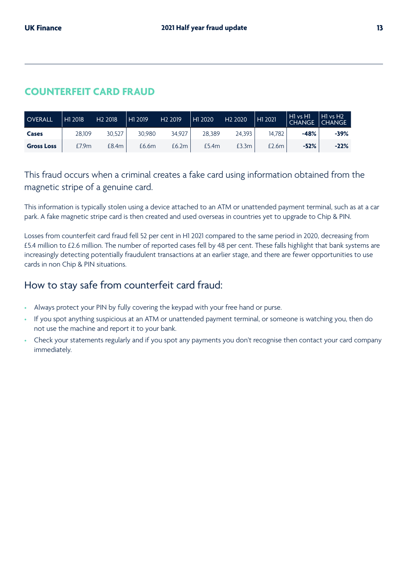## **COUNTERFEIT CARD FRAUD**

| <b>OVERALL</b>    | H1 2018 | H <sub>2</sub> 2018 | H1 2019 | H <sub>2</sub> 2019 | $\vert$ H <sub>1</sub> 2020 | H <sub>2</sub> 2020 | H1 2021 | $\vert$ H1 vs H1<br>  CHANGE | HI vs H <sub>2</sub><br>CHANGE |
|-------------------|---------|---------------------|---------|---------------------|-----------------------------|---------------------|---------|------------------------------|--------------------------------|
| Cases             | 28.109  | 30.527              | 30.980  | 34.927              | 28.389                      | 24.393              | 14.782  | -48%                         | $-39%$                         |
| <b>Gross Loss</b> | £7.9m   | £8.4m               | £6.6m   | £6.2m               | £5.4m                       | £3.3m               | £2.6m   | $-52%$                       | $-22%$                         |

This fraud occurs when a criminal creates a fake card using information obtained from the magnetic stripe of a genuine card.

This information is typically stolen using a device attached to an ATM or unattended payment terminal, such as at a car park. A fake magnetic stripe card is then created and used overseas in countries yet to upgrade to Chip & PIN.

Losses from counterfeit card fraud fell 52 per cent in H1 2021 compared to the same period in 2020, decreasing from £5.4 million to £2.6 million. The number of reported cases fell by 48 per cent. These falls highlight that bank systems are increasingly detecting potentially fraudulent transactions at an earlier stage, and there are fewer opportunities to use cards in non Chip & PIN situations.

## How to stay safe from counterfeit card fraud:

- Always protect your PIN by fully covering the keypad with your free hand or purse.
- If you spot anything suspicious at an ATM or unattended payment terminal, or someone is watching you, then do not use the machine and report it to your bank.
- Check your statements regularly and if you spot any payments you don't recognise then contact your card company immediately.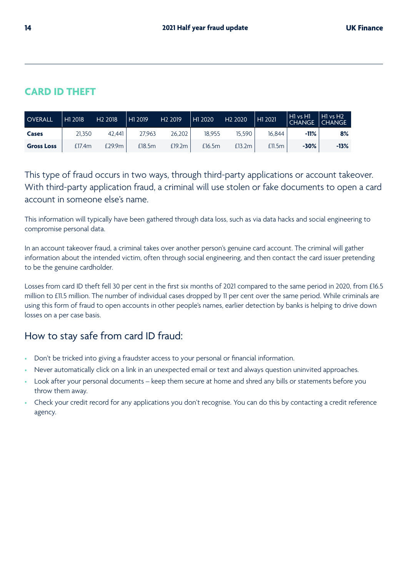## **CARD ID THEFT**

| <b>OVERALL</b>    | H1 2018 | H <sub>2</sub> 2018 | H1 2019 | H <sub>2</sub> 2019 | H1 2020 | H <sub>2</sub> 2020 | H1 2021 | $H1$ vs $H1$<br><b>CHANGE</b> | H1 vs H2'<br>  CHANGE |
|-------------------|---------|---------------------|---------|---------------------|---------|---------------------|---------|-------------------------------|-----------------------|
| Cases             | 21.350  | 42.441              | 27.963  | 26.202              | 18.955  | 15.590              | 16.844  | $-11%$                        | 8%                    |
| <b>Gross Loss</b> | £17.4m  | £29.9m              | £18.5m  | £19.2m              | £16.5m  | £13.2m              | £11.5m  | $-30%$                        | $-13%$                |

This type of fraud occurs in two ways, through third-party applications or account takeover. With third-party application fraud, a criminal will use stolen or fake documents to open a card account in someone else's name.

This information will typically have been gathered through data loss, such as via data hacks and social engineering to compromise personal data.

In an account takeover fraud, a criminal takes over another person's genuine card account. The criminal will gather information about the intended victim, often through social engineering, and then contact the card issuer pretending to be the genuine cardholder.

Losses from card ID theft fell 30 per cent in the first six months of 2021 compared to the same period in 2020, from £16.5 million to £11.5 million. The number of individual cases dropped by 11 per cent over the same period. While criminals are using this form of fraud to open accounts in other people's names, earlier detection by banks is helping to drive down losses on a per case basis.

## How to stay safe from card ID fraud:

- Don't be tricked into giving a fraudster access to your personal or financial information.
- Never automatically click on a link in an unexpected email or text and always question uninvited approaches.
- Look after your personal documents keep them secure at home and shred any bills or statements before you throw them away.
- Check your credit record for any applications you don't recognise. You can do this by contacting a credit reference agency.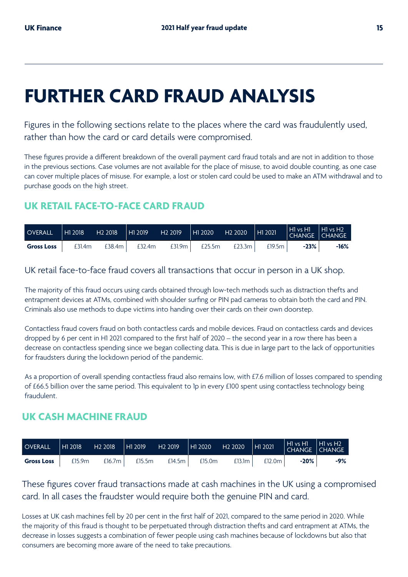## **FURTHER CARD FRAUD ANALYSIS**

Figures in the following sections relate to the places where the card was fraudulently used, rather than how the card or card details were compromised.

These figures provide a different breakdown of the overall payment card fraud totals and are not in addition to those in the previous sections. Case volumes are not available for the place of misuse, to avoid double counting, as one case can cover multiple places of misuse. For example, a lost or stolen card could be used to make an ATM withdrawal and to purchase goods on the high street.

## **UK RETAIL FACE-TO-FACE CARD FRAUD**

| <b>OVERALL</b>    | H12018 | H <sub>2</sub> 2018 | $\parallel$ H1 2019 | H <sub>2</sub> 2019 | $\parallel$ H1 2020 | $H2 2020$ $H1 2021$ |        | $\vert$ H vs H $\vert$ H vs H $\vert$<br>$\mid$ CHANGE $\mid$ CHANGE |      |
|-------------------|--------|---------------------|---------------------|---------------------|---------------------|---------------------|--------|----------------------------------------------------------------------|------|
| <b>Gross Loss</b> | £31.4m | £38.4m              | £32.4m              | £31.9m              | £25.5m              | £23.3 $m$           | £19.5m | $-23%$                                                               | -16% |

UK retail face-to-face fraud covers all transactions that occur in person in a UK shop.

The majority of this fraud occurs using cards obtained through low-tech methods such as distraction thefts and entrapment devices at ATMs, combined with shoulder surfing or PIN pad cameras to obtain both the card and PIN. Criminals also use methods to dupe victims into handing over their cards on their own doorstep.

Contactless fraud covers fraud on both contactless cards and mobile devices. Fraud on contactless cards and devices dropped by 6 per cent in H1 2021 compared to the first half of 2020 – the second year in a row there has been a decrease on contactless spending since we began collecting data. This is due in large part to the lack of opportunities for fraudsters during the lockdown period of the pandemic.

As a proportion of overall spending contactless fraud also remains low, with £7.6 million of losses compared to spending of £66.5 billion over the same period. This equivalent to 1p in every £100 spent using contactless technology being fraudulent.

### **UK CASH MACHINE FRAUD**

| <b>OVERALL</b>    | $\vert$ H <sub>1</sub> 2018 | H <sub>2</sub> 2018 | H12019 | H <sub>2</sub> 2019 | H1 2020 | H <sub>2</sub> 2020 | H1 2021 | $\sqrt{\text{HI vs HI}}$ $\text{HI vs H2}$<br>CHANGE CHANGE |       |
|-------------------|-----------------------------|---------------------|--------|---------------------|---------|---------------------|---------|-------------------------------------------------------------|-------|
| <b>Gross Loss</b> | £15.9m                      | £16.7m              | £15.5m | £14.5 $m \mid$      | £15.0m  | £13.1m              | £12.0m  | $-20%$                                                      | $-9%$ |

These figures cover fraud transactions made at cash machines in the UK using a compromised card. In all cases the fraudster would require both the genuine PIN and card.

Losses at UK cash machines fell by 20 per cent in the first half of 2021, compared to the same period in 2020. While the majority of this fraud is thought to be perpetuated through distraction thefts and card entrapment at ATMs, the decrease in losses suggests a combination of fewer people using cash machines because of lockdowns but also that consumers are becoming more aware of the need to take precautions.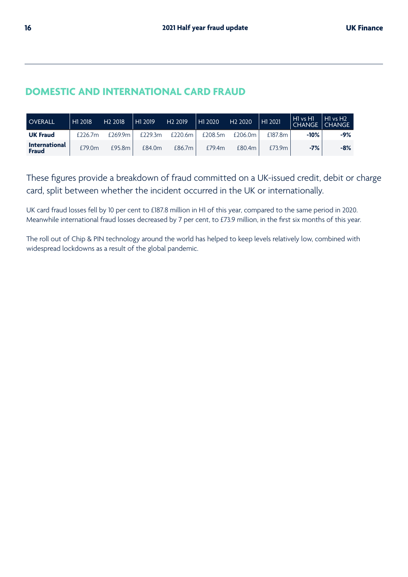## **DOMESTIC AND INTERNATIONAL CARD FRAUD**

| <b>OVERALL</b>                       | H1 2018    | H <sub>2</sub> 2018 | H <sub>1</sub> 2019 | H <sub>2</sub> 2019 | H1 2020 | H <sub>2</sub> 2020 | H1 2021 | $H1$ vs $H1$<br><b>CHANGE</b> | H1 vs H2<br>  CHANGE |
|--------------------------------------|------------|---------------------|---------------------|---------------------|---------|---------------------|---------|-------------------------------|----------------------|
| <b>UK Fraud</b>                      | $f$ 226.7m | £269.9m             | $f$ 229.3m          | £220.6m             | £208.5m | £206.0m             | £187.8m | $-10%$                        | $-9%$                |
| <b>International</b><br><b>Fraud</b> | £79.0m     | £95.8m              | £84.0m              | £86.7m              | £79.4m  | £80.4m              | £73.9m  | $-7%$                         | $-8%$                |

These figures provide a breakdown of fraud committed on a UK-issued credit, debit or charge card, split between whether the incident occurred in the UK or internationally.

UK card fraud losses fell by 10 per cent to £187.8 million in H1 of this year, compared to the same period in 2020. Meanwhile international fraud losses decreased by 7 per cent, to £73.9 million, in the first six months of this year.

The roll out of Chip & PIN technology around the world has helped to keep levels relatively low, combined with widespread lockdowns as a result of the global pandemic.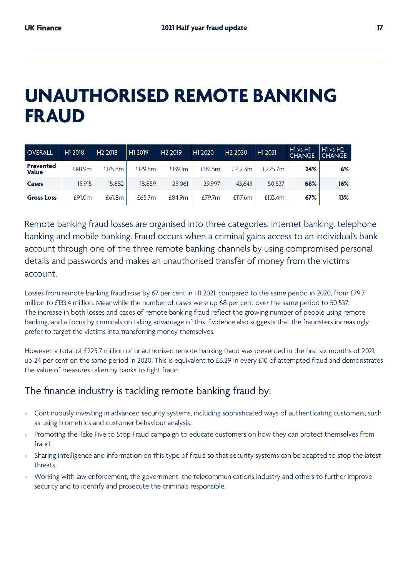## **UNAUTHORISED REMOTE BANKING FRAUD**

| <b>OVERALL</b>            | H1 2018 | H <sub>2</sub> 2018 | H1 2019 | H <sub>2</sub> 2019 | H1 2020 | H <sub>2</sub> 2020 | H1 2021    | $H1$ vs $H1$<br><b>CHANGE</b> | $H1$ vs $H2$<br><b>CHANGE</b> |
|---------------------------|---------|---------------------|---------|---------------------|---------|---------------------|------------|-------------------------------|-------------------------------|
| <b>Prevented</b><br>Value | £141.9m | £175.8m             | £129.8m | £139.1m             | £181.5m | £212.3m             | £225.7 $m$ | 24%                           | 6%                            |
| Cases                     | 15.915  | 15.882              | 18.859  | 25.061              | 29.997  | 43.643              | 50.537     | 68%                           | 16%                           |
| <b>Gross Loss</b>         | £91.0m  | £61.8m              | £65.7m  | £84.9m              | f79.7m  | £117.6m             | £133.4m    | 67%                           | 13%                           |

Remote banking fraud losses are organised into three categories: internet banking, telephone banking and mobile banking. Fraud occurs when a criminal gains access to an individual's bank account through one of the three remote banking channels by using compromised personal details and passwords and makes an unauthorised transfer of money from the victims account.

Losses from remote banking fraud rose by 67 per cent in H1 2021, compared to the same period in 2020, from £79.7 million to £133.4 million. Meanwhile the number of cases were up 68 per cent over the same period to 50,537. The increase in both losses and cases of remote banking fraud reflect the growing number of people using remote banking, and a focus by criminals on taking advantage of this. Evidence also suggests that the fraudsters increasingly prefer to target the victims into transferring money themselves.

However, a total of £225.7 million of unauthorised remote banking fraud was prevented in the first six months of 2021, up 24 per cent on the same period in 2020. This is equivalent to £6.29 in every £10 of attempted fraud and demonstrates the value of measures taken by banks to fight fraud.

## The finance industry is tackling remote banking fraud by:

- Continuously investing in advanced security systems, including sophisticated ways of authenticating customers, such as using biometrics and customer behaviour analysis.
- Promoting the Take Five to Stop Fraud campaign to educate customers on how they can protect themselves from fraud.
- Sharing intelligence and information on this type of fraud so that security systems can be adapted to stop the latest threats.
- Working with law enforcement, the government, the telecommunications industry and others to further improve security and to identify and prosecute the criminals responsible.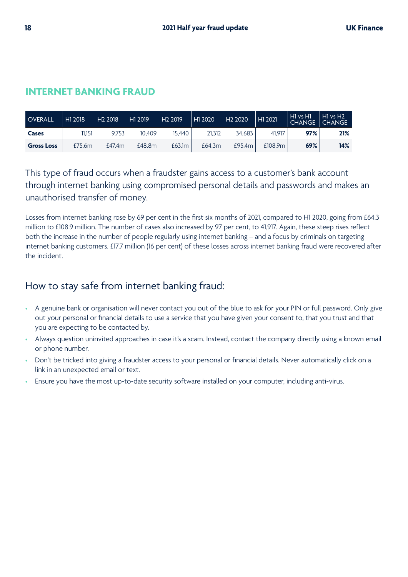## **INTERNET BANKING FRAUD**

| <b>OVERALL</b>    | H <sub>1</sub> 2018 | H <sub>2</sub> 2018 | H1 2019 | H <sub>2</sub> 2019 | H1 2020 | H <sub>2</sub> 2020 | H1 2021 | H1 vs H1  <br><b>CHANGE</b> | HI vs H <sub>2</sub><br>  CHANGE |
|-------------------|---------------------|---------------------|---------|---------------------|---------|---------------------|---------|-----------------------------|----------------------------------|
| Cases             | 11.151              | 9.753               | 10.409  | 15.440              | 21.312  | 34.683              | 41.917  | 97%                         | 21%                              |
| <b>Gross Loss</b> | £75.6m              | £47.4m              | £48.8m  | £63.1m              | £64.3m  | £95.4m              | £108.9m | 69%                         | 14%                              |

This type of fraud occurs when a fraudster gains access to a customer's bank account through internet banking using compromised personal details and passwords and makes an unauthorised transfer of money.

Losses from internet banking rose by 69 per cent in the first six months of 2021, compared to H1 2020, going from £64.3 million to £108.9 million. The number of cases also increased by 97 per cent, to 41,917. Again, these steep rises reflect both the increase in the number of people regularly using internet banking – and a focus by criminals on targeting internet banking customers. £17.7 million (16 per cent) of these losses across internet banking fraud were recovered after the incident.

## How to stay safe from internet banking fraud:

- A genuine bank or organisation will never contact you out of the blue to ask for your PIN or full password. Only give out your personal or financial details to use a service that you have given your consent to, that you trust and that you are expecting to be contacted by.
- Always question uninvited approaches in case it's a scam. Instead, contact the company directly using a known email or phone number.
- Don't be tricked into giving a fraudster access to your personal or financial details. Never automatically click on a link in an unexpected email or text.
- Ensure you have the most up-to-date security software installed on your computer, including anti-virus.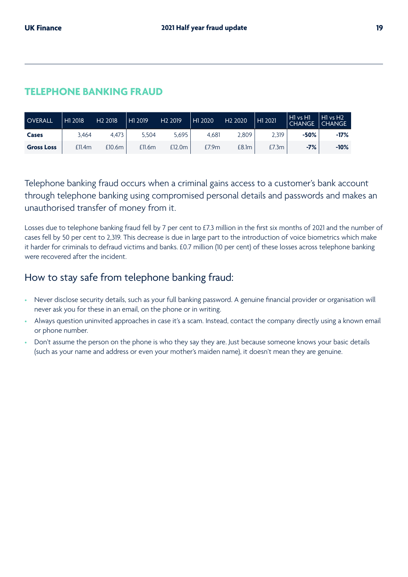### **TELEPHONE BANKING FRAUD**

| <b>OVERALL</b>    | H1 2018 | H <sub>2</sub> 2018 | H1 2019 | H <sub>2</sub> 2019 | H1 2020 | H <sub>2</sub> 2020 | H1 2021 | $H1$ vs $H1$<br><b>CHANGE</b> | H1 vs H2<br>  CHANGE |
|-------------------|---------|---------------------|---------|---------------------|---------|---------------------|---------|-------------------------------|----------------------|
| Cases             | 3.464   | 4.473               | 5.504   | 5.695               | 4.681   | 2,809               | 2,319   | -50%                          | $-17%$               |
| <b>Gross Loss</b> | £11.4m  | £10.6m              | £11.6m  | £12.0m              | £7.9m   | £8.1m               | £7.3m   | $-7%$                         | $-10%$               |

Telephone banking fraud occurs when a criminal gains access to a customer's bank account through telephone banking using compromised personal details and passwords and makes an unauthorised transfer of money from it.

Losses due to telephone banking fraud fell by 7 per cent to £7.3 million in the first six months of 2021 and the number of cases fell by 50 per cent to 2,319. This decrease is due in large part to the introduction of voice biometrics which make it harder for criminals to defraud victims and banks. £0.7 million (10 per cent) of these losses across telephone banking were recovered after the incident.

### How to stay safe from telephone banking fraud:

- Never disclose security details, such as your full banking password. A genuine financial provider or organisation will never ask you for these in an email, on the phone or in writing.
- Always question uninvited approaches in case it's a scam. Instead, contact the company directly using a known email or phone number.
- Don't assume the person on the phone is who they say they are. Just because someone knows your basic details (such as your name and address or even your mother's maiden name), it doesn't mean they are genuine.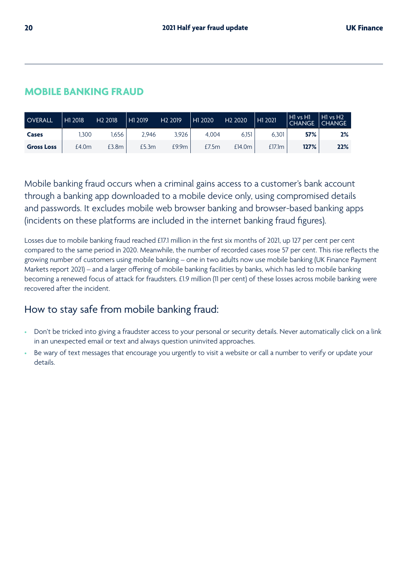## **MOBILE BANKING FRAUD**

| <b>OVERALL</b>    | H1 2018 | H <sub>2</sub> 2018 | H1 2019 | H <sub>2</sub> 2019 | H1 2020 | H <sub>2</sub> 2020 | H1 2021 | ll H1 vs H1 '<br><b>CHANGE</b> | HI vs H <sub>2</sub><br><b>CHANGE</b> |
|-------------------|---------|---------------------|---------|---------------------|---------|---------------------|---------|--------------------------------|---------------------------------------|
| Cases             | .300    | .656                | 2.946   | 3.926               | 4.004   | 6.151               | 6.301   | 57%                            | 2%                                    |
| <b>Gross Loss</b> | £4.0m   | £3.8m               | £5.3m   | £9.9 <sub>m</sub>   | £7.5m   | £14.0m              | £17.1m  | 127%                           | 22%                                   |

Mobile banking fraud occurs when a criminal gains access to a customer's bank account through a banking app downloaded to a mobile device only, using compromised details and passwords. It excludes mobile web browser banking and browser-based banking apps (incidents on these platforms are included in the internet banking fraud figures).

Losses due to mobile banking fraud reached £17.1 million in the first six months of 2021, up 127 per cent per cent compared to the same period in 2020. Meanwhile, the number of recorded cases rose 57 per cent. This rise reflects the growing number of customers using mobile banking – one in two adults now use mobile banking (UK Finance Payment Markets report 2021) – and a larger offering of mobile banking facilities by banks, which has led to mobile banking becoming a renewed focus of attack for fraudsters. £1.9 million (11 per cent) of these losses across mobile banking were recovered after the incident.

## How to stay safe from mobile banking fraud:

- Don't be tricked into giving a fraudster access to your personal or security details. Never automatically click on a link in an unexpected email or text and always question uninvited approaches.
- Be wary of text messages that encourage you urgently to visit a website or call a number to verify or update your details.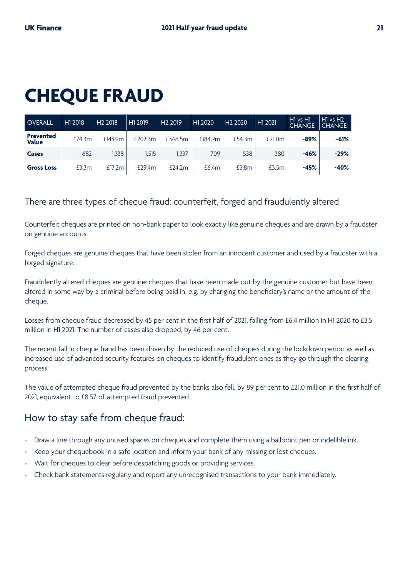## **CHEQUE FRAUD**

| <b>OVERALL</b>            | H1 2018 | H <sub>2</sub> 2018 | H1 2019 | H <sub>2</sub> 2019 | H1 2020 | H <sub>2</sub> 2020 | H <sub>1</sub> 2021 | H1 vs H1<br><b>CHANGE</b> | $H1$ vs $H2$<br><b>CHANGE</b> |
|---------------------------|---------|---------------------|---------|---------------------|---------|---------------------|---------------------|---------------------------|-------------------------------|
| <b>Prevented</b><br>Value | £74.3m  | £143.9m             | £202.3m | £348.5m             | £184.2m | £54.3m              | £21.0m              | $-89%$                    | $-61%$                        |
| Cases                     | 682     | 1.338               | 1.515   | 1.337               | 709     | 538                 | 380                 | $-46%$                    | $-29%$                        |
| <b>Gross Loss</b>         | £3.3m   | £17.2m              | £29.4m  | E24.2m              | £6.4m   | £5.8m               | £3.5m               | $-45%$                    | $-40%$                        |

## There are three types of cheque fraud: counterfeit, forged and fraudulently altered.

Counterfeit cheques are printed on non-bank paper to look exactly like genuine cheques and are drawn by a fraudster on genuine accounts.

Forged cheques are genuine cheques that have been stolen from an innocent customer and used by a fraudster with a forged signature.

Fraudulently altered cheques are genuine cheques that have been made out by the genuine customer but have been altered in some way by a criminal before being paid in, e.g. by changing the beneficiary's name or the amount of the cheque.

Losses from cheque fraud decreased by 45 per cent in the first half of 2021, falling from £6.4 million in H1 2020 to £3.5 million in H1 2021. The number of cases also dropped, by 46 per cent.

The recent fall in cheque fraud has been driven by the reduced use of cheques during the lockdown period as well as increased use of advanced security features on cheques to identify fraudulent ones as they go through the clearing process.

The value of attempted cheque fraud prevented by the banks also fell, by 89 per cent to £21.0 million in the first half of 2021, equivalent to £8.57 of attempted fraud prevented.

## How to stay safe from cheque fraud:

- Draw a line through any unused spaces on cheques and complete them using a ballpoint pen or indelible ink.
- Keep your chequebook in a safe location and inform your bank of any missing or lost cheques.
- Wait for cheques to clear before despatching goods or providing services.
- Check bank statements regularly and report any unrecognised transactions to your bank immediately.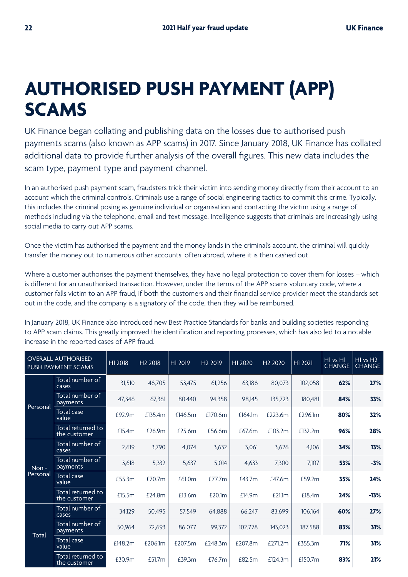## **AUTHORISED PUSH PAYMENT (APP) SCAMS**

UK Finance began collating and publishing data on the losses due to authorised push payments scams (also known as APP scams) in 2017. Since January 2018, UK Finance has collated additional data to provide further analysis of the overall figures. This new data includes the scam type, payment type and payment channel.

In an authorised push payment scam, fraudsters trick their victim into sending money directly from their account to an account which the criminal controls. Criminals use a range of social engineering tactics to commit this crime. Typically, this includes the criminal posing as genuine individual or organisation and contacting the victim using a range of methods including via the telephone, email and text message. Intelligence suggests that criminals are increasingly using social media to carry out APP scams.

Once the victim has authorised the payment and the money lands in the criminal's account, the criminal will quickly transfer the money out to numerous other accounts, often abroad, where it is then cashed out.

Where a customer authorises the payment themselves, they have no legal protection to cover them for losses – which is different for an unauthorised transaction. However, under the terms of the APP scams voluntary code, where a customer falls victim to an APP fraud, if both the customers and their financial service provider meet the standards set out in the code, and the company is a signatory of the code, then they will be reimbursed.

In January 2018, UK Finance also introduced new Best Practice Standards for banks and building societies responding to APP scam claims. This greatly improved the identification and reporting processes, which has also led to a notable increase in the reported cases of APP fraud.

|          | <b>OVERALL AUTHORISED</b><br>PUSH PAYMENT SCAMS | H1 2018 | H <sub>2</sub> 2018 | H1 2019 | H <sub>2</sub> 2019 | H1 2020 | H <sub>2</sub> 2020 | H1 2021 | $H1$ vs $H1$<br><b>CHANGE</b> | $H1$ vs $H2$<br><b>CHANGE</b> |
|----------|-------------------------------------------------|---------|---------------------|---------|---------------------|---------|---------------------|---------|-------------------------------|-------------------------------|
|          | Total number of<br>cases                        | 31,510  | 46,705              | 53.475  | 61,256              | 63.186  | 80.073              | 102.058 | 62%                           | 27%                           |
|          | Total number of<br>payments                     | 47.346  | 67,361              | 80.440  | 94,358              | 98.145  | 135.723             | 180.481 | 84%                           | 33%                           |
| Personal | Total case<br>value                             | £92.9m  | £135.4m             | £146.5m | £170.6m             | £164.1m | £223.6m             | £296.1m | 80%                           | 32%                           |
|          | Total returned to<br>the customer               | £15.4m  | £26.9m              | £25.6m  | £56.6m              | £67.6m  | £103.2m             | £132.2m | 96%                           | 28%                           |
|          | Total number of<br>cases                        | 2,619   | 3,790               | 4,074   | 3,632               | 3,061   | 3,626               | 4.106   | 34%                           | 13%                           |
| Non-     | Total number of<br>payments                     | 3.618   | 5,332               | 5,637   | 5,014               | 4,633   | 7,300               | 7,107   | 53%                           | $-3%$                         |
| Personal | <b>Total case</b><br>value                      | £55.3m  | £70.7m              | £61.0m  | £77.7m              | £43.7m  | £47.6m              | £59.2m  | 35%                           | 24%                           |
|          | Total returned to<br>the customer               | £15.5m  | £24.8m              | £13.6m  | £20.1m              | £14.9m  | £21.1m              | £18.4m  | 24%                           | $-13%$                        |
|          | Total number of<br>cases                        | 34.129  | 50.495              | 57.549  | 64,888              | 66.247  | 83,699              | 106.164 | 60%                           | 27%                           |
| Total    | Total number of<br>payments                     | 50,964  | 72.693              | 86.077  | 99,372              | 102.778 | 143,023             | 187,588 | 83%                           | 31%                           |
|          | <b>Total</b> case<br>value                      | £148.2m | £206.1m             | £207.5m | £248.3m             | £207.8m | £271.2m             | £355.3m | 71%                           | 31%                           |
|          | Total returned to<br>the customer               | £30.9m  | £51.7m              | £39.3m  | £76.7m              | £82.5m  | £124.3m             | £150.7m | 83%                           | 21%                           |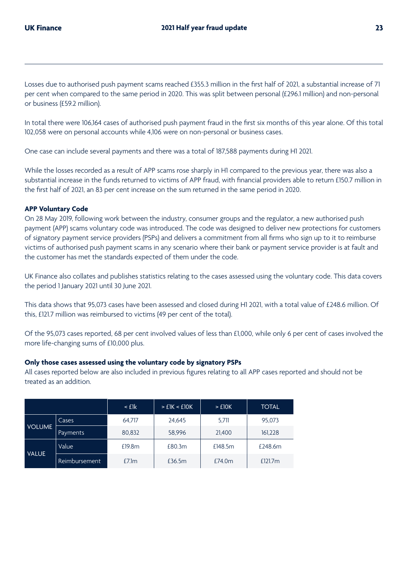Losses due to authorised push payment scams reached £355.3 million in the first half of 2021, a substantial increase of 71 per cent when compared to the same period in 2020. This was split between personal (£296.1 million) and non-personal or business (£59.2 million).

In total there were 106,164 cases of authorised push payment fraud in the first six months of this year alone. Of this total 102,058 were on personal accounts while 4,106 were on non-personal or business cases.

One case can include several payments and there was a total of 187,588 payments during H1 2021.

While the losses recorded as a result of APP scams rose sharply in H1 compared to the previous year, there was also a substantial increase in the funds returned to victims of APP fraud, with financial providers able to return £150.7 million in the first half of 2021, an 83 per cent increase on the sum returned in the same period in 2020.

#### **APP Voluntary Code**

On 28 May 2019, following work between the industry, consumer groups and the regulator, a new authorised push payment (APP) scams voluntary code was introduced. The code was designed to deliver new protections for customers of signatory payment service providers (PSPs) and delivers a commitment from all firms who sign up to it to reimburse victims of authorised push payment scams in any scenario where their bank or payment service provider is at fault and the customer has met the standards expected of them under the code.

UK Finance also collates and publishes statistics relating to the cases assessed using the voluntary code. This data covers the period 1 January 2021 until 30 June 2021.

This data shows that 95,073 cases have been assessed and closed during H1 2021, with a total value of £248.6 million. Of this, £121.7 million was reimbursed to victims (49 per cent of the total).

Of the 95,073 cases reported, 68 per cent involved values of less than £1,000, while only 6 per cent of cases involved the more life-changing sums of £10,000 plus.

#### **Only those cases assessed using the voluntary code by signatory PSPs**

All cases reported below are also included in previous figures relating to all APP cases reported and should not be treated as an addition.

|               |                      | $\leq$ flk | >E1K < 10K | $>$ £10K | <b>TOTAL</b> |
|---------------|----------------------|------------|------------|----------|--------------|
|               | Cases                | 64.717     | 24,645     | 5.711    | 95,073       |
| <b>VOLUME</b> | Payments             | 80,832     | 58,996     | 21,400   | 161,228      |
| <b>VALUE</b>  | Value                | £19.8m     | £80.3m     | £148.5m  | £248.6m      |
|               | <b>Reimbursement</b> | £7.1m      | £36.5m     | £74.0m   | £121.7m      |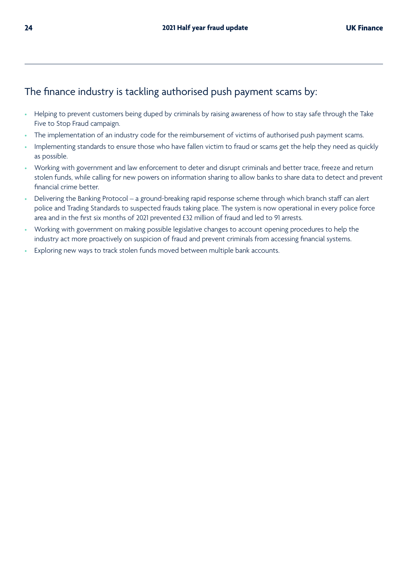## The finance industry is tackling authorised push payment scams by:

- Helping to prevent customers being duped by criminals by raising awareness of how to stay safe through the Take Five to Stop Fraud campaign.
- The implementation of an industry code for the reimbursement of victims of authorised push payment scams.
- Implementing standards to ensure those who have fallen victim to fraud or scams get the help they need as quickly as possible.
- Working with government and law enforcement to deter and disrupt criminals and better trace, freeze and return stolen funds, while calling for new powers on information sharing to allow banks to share data to detect and prevent financial crime better.
- Delivering the Banking Protocol a ground-breaking rapid response scheme through which branch staff can alert police and Trading Standards to suspected frauds taking place. The system is now operational in every police force area and in the first six months of 2021 prevented £32 million of fraud and led to 91 arrests.
- Working with government on making possible legislative changes to account opening procedures to help the industry act more proactively on suspicion of fraud and prevent criminals from accessing financial systems.
- Exploring new ways to track stolen funds moved between multiple bank accounts.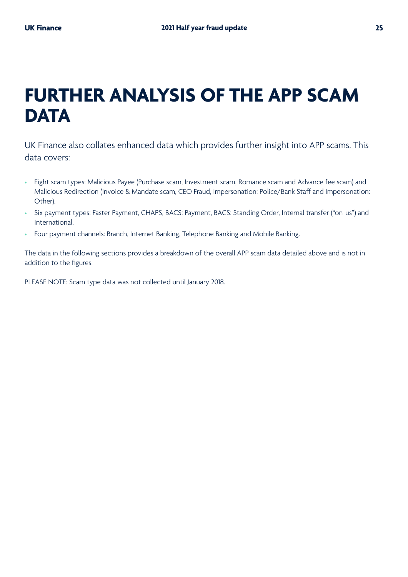## **FURTHER ANALYSIS OF THE APP SCAM DATA**

UK Finance also collates enhanced data which provides further insight into APP scams. This data covers:

- Eight scam types: Malicious Payee (Purchase scam, Investment scam, Romance scam and Advance fee scam) and Malicious Redirection (Invoice & Mandate scam, CEO Fraud, Impersonation: Police/Bank Staff and Impersonation: Other).
- Six payment types: Faster Payment, CHAPS, BACS: Payment, BACS: Standing Order, Internal transfer ("on-us") and International.
- Four payment channels: Branch, Internet Banking, Telephone Banking and Mobile Banking.

The data in the following sections provides a breakdown of the overall APP scam data detailed above and is not in addition to the figures.

PLEASE NOTE: Scam type data was not collected until January 2018.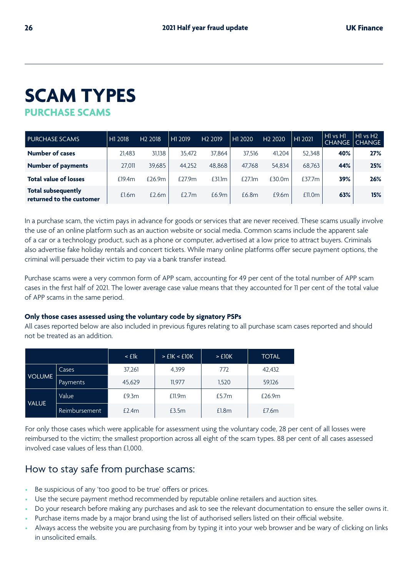## **PURCHASE SCAMS SCAM TYPES**

| <b>PURCHASE SCAMS</b>                                 | H1 2018 | H <sub>2</sub> 2018 | H1 2019 | H <sub>2</sub> 2019 | H1 2020   | H <sub>2</sub> 2020 | H1 2021   | H1 vs H1<br><b>CHANGE</b> | $H1$ vs $H2$<br><b>CHANGE</b> |
|-------------------------------------------------------|---------|---------------------|---------|---------------------|-----------|---------------------|-----------|---------------------------|-------------------------------|
| <b>Number of cases</b>                                | 21,483  | 31,138              | 35.472  | 37.864              | 37,516    | 41.204              | 52.348    | 40%                       | 27%                           |
| <b>Number of payments</b>                             | 27.011  | 39,685              | 44,252  | 48.868              | 47.768    | 54,834              | 68,763    | 44%                       | 25%                           |
| <b>Total value of losses</b>                          | £19.4m  | £26.9m              | £27.9m  | £31.1m              | £27.1 $m$ | £30.0m              | £37.7 $m$ | 39%                       | 26%                           |
| <b>Total subsequently</b><br>returned to the customer | £1.6m   | £2.6m               | £2.7m   | £6.9m               | £6.8m     | £9.6m               | £11.0m    | 63%                       | 15%                           |

In a purchase scam, the victim pays in advance for goods or services that are never received. These scams usually involve the use of an online platform such as an auction website or social media. Common scams include the apparent sale of a car or a technology product, such as a phone or computer, advertised at a low price to attract buyers. Criminals also advertise fake holiday rentals and concert tickets. While many online platforms offer secure payment options, the criminal will persuade their victim to pay via a bank transfer instead.

Purchase scams were a very common form of APP scam, accounting for 49 per cent of the total number of APP scam cases in the first half of 2021. The lower average case value means that they accounted for 11 per cent of the total value of APP scams in the same period.

#### **Only those cases assessed using the voluntary code by signatory PSPs**

All cases reported below are also included in previous figures relating to all purchase scam cases reported and should not be treated as an addition.

|               |               | $\leq$ flk | > E1K < E10K | $>$ £10K | <b>TOTAL</b> |
|---------------|---------------|------------|--------------|----------|--------------|
|               | Cases         | 37,261     | 4,399        | 772      | 42,432       |
| <b>VOLUME</b> | Payments      | 45,629     | 11,977       | 1,520    | 59,126       |
|               | Value         | £9.3m      | £11.9m       | £5.7m    | £26.9m       |
| <b>VALUE</b>  | Reimbursement | £2.4m      | £3.5m        | £1.8m    | £7.6m        |

For only those cases which were applicable for assessment using the voluntary code, 28 per cent of all losses were reimbursed to the victim; the smallest proportion across all eight of the scam types. 88 per cent of all cases assessed involved case values of less than £1,000.

### How to stay safe from purchase scams:

- Be suspicious of any 'too good to be true' offers or prices.
- Use the secure payment method recommended by reputable online retailers and auction sites.
- Do your research before making any purchases and ask to see the relevant documentation to ensure the seller owns it.
- Purchase items made by a major brand using the list of authorised sellers listed on their official website.
- Always access the website you are purchasing from by typing it into your web browser and be wary of clicking on links in unsolicited emails.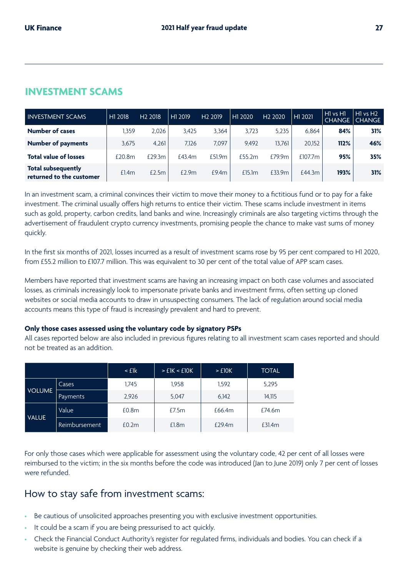## **INVESTMENT SCAMS**

| <b>INVESTMENT SCAMS</b>                               | H1 2018 | H <sub>2</sub> 2018 | H1 2019 | H <sub>2</sub> 2019 | H1 2020 | H <sub>2</sub> 2020 | H1 2021             | $H1$ vs $H1$<br><b>CHANGE</b> | $H1$ vs $H2$<br><b>CHANGE</b> |
|-------------------------------------------------------|---------|---------------------|---------|---------------------|---------|---------------------|---------------------|-------------------------------|-------------------------------|
| <b>Number of cases</b>                                | .359    | 2.026               | 3.425   | 3.364               | 3,723   | 5.235               | 6.864               | 84%                           | 31%                           |
| <b>Number of payments</b>                             | 3.675   | 4.261               | 7.126   | 7.097               | 9.492   | 13.761              | 20.152              | 112%                          | 46%                           |
| <b>Total value of losses</b>                          | £20.8m  | £29.3m              | £43.4m  | £51.9m              | f55.2m  | £79.9m              | £107.7 <sub>m</sub> | 95%                           | 35%                           |
| <b>Total subsequently</b><br>returned to the customer | £1.4m   | £2.5m               | £2.9m   | £9.4m               | £15.1m  | £33.9m              | £44.3m              | 193%                          | 31%                           |

In an investment scam, a criminal convinces their victim to move their money to a fictitious fund or to pay for a fake investment. The criminal usually offers high returns to entice their victim. These scams include investment in items such as gold, property, carbon credits, land banks and wine. Increasingly criminals are also targeting victims through the advertisement of fraudulent crypto currency investments, promising people the chance to make vast sums of money quickly.

In the first six months of 2021, losses incurred as a result of investment scams rose by 95 per cent compared to H1 2020, from £55.2 million to £107.7 million. This was equivalent to 30 per cent of the total value of APP scam cases.

Members have reported that investment scams are having an increasing impact on both case volumes and associated losses, as criminals increasingly look to impersonate private banks and investment firms, often setting up cloned websites or social media accounts to draw in unsuspecting consumers. The lack of regulation around social media accounts means this type of fraud is increasingly prevalent and hard to prevent.

#### **Only those cases assessed using the voluntary code by signatory PSPs**

All cases reported below are also included in previous figures relating to all investment scam cases reported and should not be treated as an addition.

|               |               | $\leq$ flk        | >E1K < E10K | $>$ £10 $K$ | <b>TOTAL</b> |
|---------------|---------------|-------------------|-------------|-------------|--------------|
|               | Cases         | 1.745             | 1,958       | 1,592       | 5,295        |
| <b>VOLUME</b> | Payments      | 2,926             | 5,047       | 6,142       | 14,115       |
| <b>VALUE</b>  | Value         | £0.8 <sub>m</sub> | £7.5m       | £66.4m      | £74.6m       |
|               | Reimbursement | £0.2m             | £1.8m       | £29.4m      | £31.4m       |

For only those cases which were applicable for assessment using the voluntary code, 42 per cent of all losses were reimbursed to the victim; in the six months before the code was introduced (Jan to June 2019) only 7 per cent of losses were refunded.

#### How to stay safe from investment scams:

- Be cautious of unsolicited approaches presenting you with exclusive investment opportunities.
- It could be a scam if you are being pressurised to act quickly.
- Check the Financial Conduct Authority's register for regulated firms, individuals and bodies. You can check if a website is genuine by checking their web address.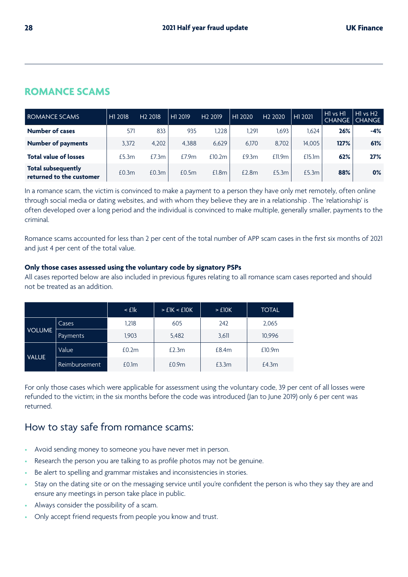## **ROMANCE SCAMS**

| ROMANCE SCAMS                                         | H1 2018 | H <sub>2</sub> 2018 | H1 2019 | H <sub>2</sub> 2019 | H1<br>2020 | H <sub>2</sub> 2020 | H1 2021 | H <sub>1</sub> vs H <sub>1</sub><br><b>CHANGE</b> | $H1$ vs $H2$<br><b>CHANGE</b> |
|-------------------------------------------------------|---------|---------------------|---------|---------------------|------------|---------------------|---------|---------------------------------------------------|-------------------------------|
| <b>Number of cases</b>                                | 571     | 833                 | 935     | 1.228               | 1.291      | .693                | 1.624   | 26%                                               | -4%                           |
| <b>Number of payments</b>                             | 3,372   | 4,202               | 4.388   | 6,629               | 6,170      | 8.702               | 14.005  | 127%                                              | 61%                           |
| <b>Total value of losses</b>                          | £5.3m   | £7.3m               | £7.9m   | £10.2m              | £9.3m      | £11.9m              | £15.1m  | 62%                                               | 27%                           |
| <b>Total subsequently</b><br>returned to the customer | £0.3m   | £0.3m               | £0.5m   | £1.8m               | £2.8m      | £5.3m               | £5.3m   | 88%                                               | $0\%$                         |

In a romance scam, the victim is convinced to make a payment to a person they have only met remotely, often online through social media or dating websites, and with whom they believe they are in a relationship . The 'relationship' is often developed over a long period and the individual is convinced to make multiple, generally smaller, payments to the criminal.

Romance scams accounted for less than 2 per cent of the total number of APP scam cases in the first six months of 2021 and just 4 per cent of the total value.

#### **Only those cases assessed using the voluntary code by signatory PSPs**

All cases reported below are also included in previous figures relating to all romance scam cases reported and should not be treated as an addition.

|               |               | $\leq$ £1 $\rm k$ | >E1K < 10K        | $>$ £10K | <b>TOTAL</b>       |
|---------------|---------------|-------------------|-------------------|----------|--------------------|
|               | Cases         | 1.218             | 605               | 242      | 2,065              |
| <b>VOLUME</b> | Payments      | 1,903             | 5,482             | 3,611    | 10,996             |
|               | Value         | £0.2m             | £2.3m             | £8.4m    | £10.9 <sub>m</sub> |
| <b>VALUE</b>  | Reimbursement | £0.1 <sub>m</sub> | £0.9 <sub>m</sub> | £3.3m    | £4.3m              |

For only those cases which were applicable for assessment using the voluntary code, 39 per cent of all losses were refunded to the victim; in the six months before the code was introduced (Jan to June 2019) only 6 per cent was returned.

## How to stay safe from romance scams:

- Avoid sending money to someone you have never met in person.
- Research the person you are talking to as profile photos may not be genuine.
- Be alert to spelling and grammar mistakes and inconsistencies in stories.
- Stay on the dating site or on the messaging service until you're confident the person is who they say they are and ensure any meetings in person take place in public.
- Always consider the possibility of a scam.
- Only accept friend requests from people you know and trust.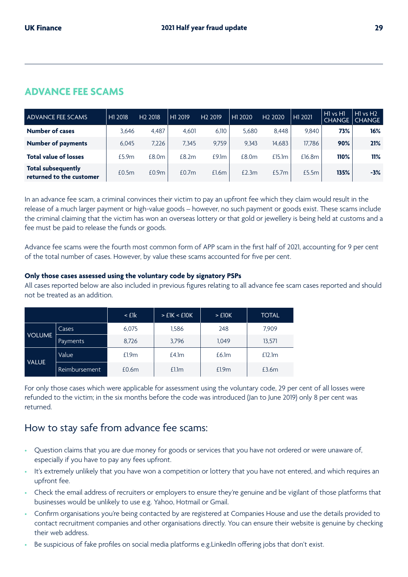| ADVANCE FEE SCAMS                                     | H1 2018 | H <sub>2</sub> 2018 | H1 2019 | H <sub>2</sub> 2019 | H1 2020 | H <sub>2</sub> 2020 | H1 2021 | H1 vs H1<br><b>CHANGE</b> | HI vs H <sub>2</sub><br><b>CHANGE</b> |
|-------------------------------------------------------|---------|---------------------|---------|---------------------|---------|---------------------|---------|---------------------------|---------------------------------------|
| <b>Number of cases</b>                                | 3.646   | 4.487               | 4.601   | 6,110               | 5,680   | 8.448               | 9.840   | 73%                       | 16%                                   |
| <b>Number of payments</b>                             | 6.045   | 7.226               | 7.345   | 9.759               | 9.343   | 14,683              | 17.786  | 90%                       | 21%                                   |
| <b>Total value of losses</b>                          | £5.9m   | £8.0m               | £8.2m   | £9.1m               | £8.0m   | £15.1m              | £16.8m  | 110%                      | 11%                                   |
| <b>Total subsequently</b><br>returned to the customer | £0.5m   | £0.9m               | £0.7m   | £1.6m               | £2.3m   | £5.7m               | £5.5m   | 135%                      | $-3%$                                 |

In an advance fee scam, a criminal convinces their victim to pay an upfront fee which they claim would result in the release of a much larger payment or high-value goods – however, no such payment or goods exist. These scams include the criminal claiming that the victim has won an overseas lottery or that gold or jewellery is being held at customs and a fee must be paid to release the funds or goods.

Advance fee scams were the fourth most common form of APP scam in the first half of 2021, accounting for 9 per cent of the total number of cases. However, by value these scams accounted for five per cent.

#### **Only those cases assessed using the voluntary code by signatory PSPs**

All cases reported below are also included in previous figures relating to all advance fee scam cases reported and should not be treated as an addition.

|               |               | $\leq$ £1 $\rm k$ | >EIK < 10K        | $>$ £10K | <b>TOTAL</b> |
|---------------|---------------|-------------------|-------------------|----------|--------------|
|               | Cases         | 6,075             | 1,586             | 248      | 7,909        |
| <b>VOLUME</b> | Payments      | 8,726             | 3,796             | 1.049    | 13,571       |
| <b>VALUE</b>  | Value         | £1.9m             | £4.1m             | £6.1m    | £12.1m       |
|               | Reimbursement | £0.6m             | £1.1 <sub>m</sub> | £1.9m    | £3.6m        |

For only those cases which were applicable for assessment using the voluntary code, 29 per cent of all losses were refunded to the victim; in the six months before the code was introduced (Jan to June 2019) only 8 per cent was returned.

## How to stay safe from advance fee scams:

- Question claims that you are due money for goods or services that you have not ordered or were unaware of, especially if you have to pay any fees upfront.
- It's extremely unlikely that you have won a competition or lottery that you have not entered, and which requires an upfront fee.
- Check the email address of recruiters or employers to ensure they're genuine and be vigilant of those platforms that businesses would be unlikely to use e.g. Yahoo, Hotmail or Gmail.
- Confirm organisations you're being contacted by are registered at Companies House and use the details provided to contact recruitment companies and other organisations directly. You can ensure their website is genuine by checking their web address.
- Be suspicious of fake profiles on social media platforms e.g. LinkedIn offering jobs that don't exist.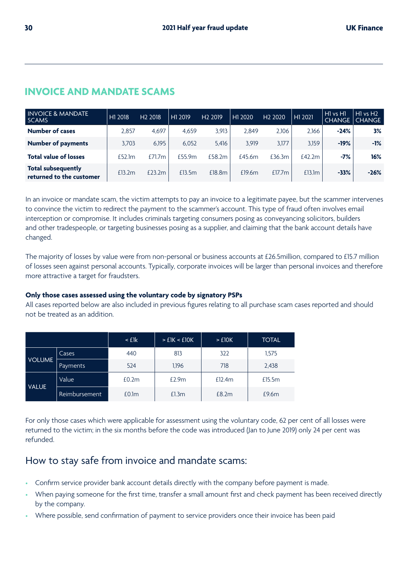| <b>INVOICE &amp; MANDATE</b><br><b>SCAMS</b>          | H1 2018 | H <sub>2</sub> 2018 | H <sub>1</sub> 2019 | H <sub>2</sub> 2019 | H1 2020 | H <sub>2</sub> 2020 | H <sub>1</sub> 2021 | H <sub>1</sub> vs H <sub>1</sub><br><b>CHANGE</b> | $H1$ vs $H2$<br>CHANGE, |
|-------------------------------------------------------|---------|---------------------|---------------------|---------------------|---------|---------------------|---------------------|---------------------------------------------------|-------------------------|
| <b>Number of cases</b>                                | 2.857   | 4.697               | 4.659               | 3.913               | 2.849   | 2.106               | 2.166               | $-24%$                                            | 3%                      |
| <b>Number of payments</b>                             | 3.703   | 6.195               | 6.052               | 5.416               | 3.919   | 3.177               | 3.159               | $-19%$                                            | $-1%$                   |
| <b>Total value of losses</b>                          | £52.1m  | £71.7m              | £55.9m              | £58.2m              | £45.6m  | £36.3m              | f42.2m              | $-7%$                                             | 16%                     |
| <b>Total subsequently</b><br>returned to the customer | £13.2m  | $f$ $23.2m$         | £13.5m              | £18.8m              | £19.6m  | £17.7m              | £13.1m              | $-33%$                                            | $-26%$                  |

## **INVOICE AND MANDATE SCAMS**

In an invoice or mandate scam, the victim attempts to pay an invoice to a legitimate payee, but the scammer intervenes to convince the victim to redirect the payment to the scammer's account. This type of fraud often involves email interception or compromise. It includes criminals targeting consumers posing as conveyancing solicitors, builders and other tradespeople, or targeting businesses posing as a supplier, and claiming that the bank account details have changed.

The majority of losses by value were from non-personal or business accounts at £26.5million, compared to £15.7 million of losses seen against personal accounts. Typically, corporate invoices will be larger than personal invoices and therefore more attractive a target for fraudsters.

#### **Only those cases assessed using the voluntary code by signatory PSPs**

All cases reported below are also included in previous figures relating to all purchase scam cases reported and should not be treated as an addition.

|               |                      | $\leq$ £1 $\rm k$ | >EIK < E10K | $>$ £10 $K$ | <b>TOTAL</b> |
|---------------|----------------------|-------------------|-------------|-------------|--------------|
|               | Cases                | 440               | 813         | 322         | 1,575        |
| <b>VOLUME</b> | <b>Payments</b>      | 524               | 1,196       | 718         | 2,438        |
| <b>VALUE</b>  | Value                | £0.2m             | £2.9m       | £12.4m      | £15.5m       |
|               | <b>Reimbursement</b> | £0.1m             | £1.3m       | £8.2m       | £9.6m        |

For only those cases which were applicable for assessment using the voluntary code, 62 per cent of all losses were returned to the victim; in the six months before the code was introduced (Jan to June 2019) only 24 per cent was refunded.

## How to stay safe from invoice and mandate scams:

- Confirm service provider bank account details directly with the company before payment is made.
- When paying someone for the first time, transfer a small amount first and check payment has been received directly by the company.
- Where possible, send confirmation of payment to service providers once their invoice has been paid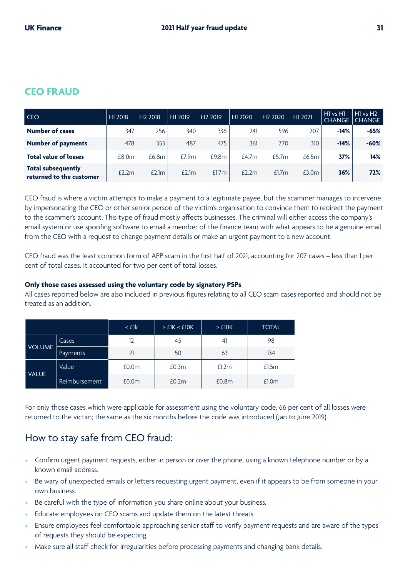## **CEO FRAUD**

| <b>CEO</b>                                            | H <sub>1</sub> 2018 | H <sub>2</sub> 2018 | H1 2019 | H <sub>2</sub> 2019 | ' H1<br>2020 | H <sub>2</sub> 2020 | H1 2021 | H <sub>1</sub> vs H <sub>1</sub><br><b>CHANGE</b> | $H1$ vs $H2$<br><b>CHANGE</b> |
|-------------------------------------------------------|---------------------|---------------------|---------|---------------------|--------------|---------------------|---------|---------------------------------------------------|-------------------------------|
| <b>Number of cases</b>                                | 347                 | 256                 | 340     | 336                 | 241          | 596                 | 207     | $-14%$                                            | $-65%$                        |
| <b>Number of payments</b>                             | 478                 | 353                 | 487     | 475                 | 361          | 770                 | 310     | $-14%$                                            | $-60%$                        |
| <b>Total value of losses</b>                          | £8.0m               | £6.8m               | £7.9m   | £9.8m               | £4.7m        | £5.7m               | £6.5m   | 37%                                               | 14%                           |
| <b>Total subsequently</b><br>returned to the customer | £2.2m               | £2.1m               | £2.1m   | £1.7m               | E2.2m        | £1.7m               | £3.0m   | 36%                                               | 72%                           |

CEO fraud is where a victim attempts to make a payment to a legitimate payee, but the scammer manages to intervene by impersonating the CEO or other senior person of the victim's organisation to convince them to redirect the payment to the scammer's account. This type of fraud mostly affects businesses. The criminal will either access the company's email system or use spoofing software to email a member of the finance team with what appears to be a genuine email from the CEO with a request to change payment details or make an urgent payment to a new account.

CEO fraud was the least common form of APP scam in the first half of 2021, accounting for 207 cases – less than 1 per cent of total cases. It accounted for two per cent of total losses.

#### **Only those cases assessed using the voluntary code by signatory PSPs**

All cases reported below are also included in previous figures relating to all CEO scam cases reported and should not be treated as an addition.

|               |               | $\leq$ flk        | > E1K < E10K | $>$ £10 $K$       | <b>TOTAL</b>      |
|---------------|---------------|-------------------|--------------|-------------------|-------------------|
|               | Cases         | 12                | 45           | 41                | 98                |
| <b>VOLUME</b> | Payments      | 21<br>50          |              | 63                | 134               |
| <b>VALUE</b>  | Value         | £0.0 <sub>m</sub> | £0.3m        | £1.2m             | £1.5m             |
|               | Reimbursement | £0.0 <sub>m</sub> | £0.2m        | £0.8 <sub>m</sub> | £1.0 <sub>m</sub> |

For only those cases which were applicable for assessment using the voluntary code, 66 per cent of all losses were returned to the victim; the same as the six months before the code was introduced (Jan to June 2019).

## How to stay safe from CEO fraud:

- Confirm urgent payment requests, either in person or over the phone, using a known telephone number or by a known email address.
- Be wary of unexpected emails or letters requesting urgent payment, even if it appears to be from someone in your own business.
- Be careful with the type of information you share online about your business.
- Educate employees on CEO scams and update them on the latest threats.
- Ensure employees feel comfortable approaching senior staff to verify payment requests and are aware of the types of requests they should be expecting.
- Make sure all staff check for irregularities before processing payments and changing bank details.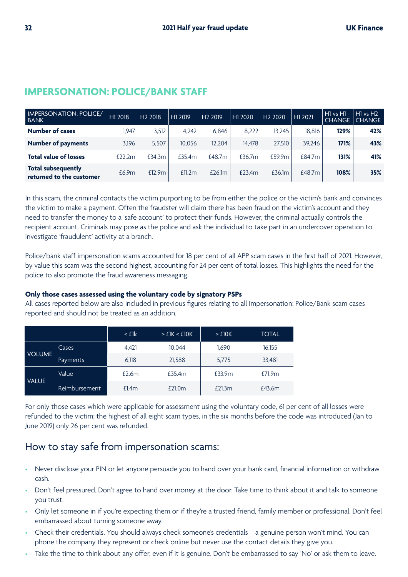| <b>IMPERSONATION: POLICE/</b><br><b>BANK</b>          | H1 2018     | H <sub>2</sub> 2018 | H1 2019 | H <sub>2</sub> 2019 | H1 2020 | H <sub>2</sub> 2020 | H1 2021 | $H1$ vs $H1$<br><b>CHANGE</b> | $H1$ vs $H2$<br><b>CHANGE</b> |
|-------------------------------------------------------|-------------|---------------------|---------|---------------------|---------|---------------------|---------|-------------------------------|-------------------------------|
| <b>Number of cases</b>                                | .947        | 3.512               | 4.242   | 6.846               | 8.222   | 13.245              | 18.816  | 129%                          | 42%                           |
| <b>Number of payments</b>                             | 3,196       | 5.507               | 10.056  | 12.204              | 14.478  | 27.510              | 39.246  | 171%                          | 43%                           |
| <b>Total value of losses</b>                          | $f$ $22.2m$ | £34.3m              | £35.4m  | £48.7m              | f36.7m  | £59.9m              | £84.7m  | 131%                          | 41%                           |
| <b>Total subsequently</b><br>returned to the customer | £6.9m       | £12.9m              | £11.2m  | £26.1m              | £23.4m  | £36.1m              | £48.7m  | 108%                          | 35%                           |

## **IMPERSONATION: POLICE/BANK STAFF**

In this scam, the criminal contacts the victim purporting to be from either the police or the victim's bank and convinces the victim to make a payment. Often the fraudster will claim there has been fraud on the victim's account and they need to transfer the money to a 'safe account' to protect their funds. However, the criminal actually controls the recipient account. Criminals may pose as the police and ask the individual to take part in an undercover operation to investigate 'fraudulent' activity at a branch.

Police/bank staff impersonation scams accounted for 18 per cent of all APP scam cases in the first half of 2021. However, by value this scam was the second highest, accounting for 24 per cent of total losses. This highlights the need for the police to also promote the fraud awareness messaging.

#### **Only those cases assessed using the voluntary code by signatory PSPs**

All cases reported below are also included in previous figures relating to all Impersonation: Police/Bank scam cases reported and should not be treated as an addition.

|                           |                      | $\leq$ flk | > E1K < E10K | $>$ £10K | <b>TOTAL</b> |
|---------------------------|----------------------|------------|--------------|----------|--------------|
|                           | Cases                | 4.421      | 10.044       | 1.690    | 16,155       |
| <b>VOLUME</b><br>Payments |                      | 6,118      | 21,588       | 5,775    | 33,481       |
| <b>VALUE</b>              | Value                | £2.6m      | £35.4m       | £33.9m   | £71.9m       |
|                           | <b>Reimbursement</b> | £1.4m      | £21.0m       | £21.3m   | £43.6m       |

For only those cases which were applicable for assessment using the voluntary code, 61 per cent of all losses were refunded to the victim; the highest of all eight scam types, in the six months before the code was introduced (Jan to June 2019) only 26 per cent was refunded.

## How to stay safe from impersonation scams:

- Never disclose your PIN or let anyone persuade you to hand over your bank card, financial information or withdraw cash.
- Don't feel pressured. Don't agree to hand over money at the door. Take time to think about it and talk to someone you trust.
- Only let someone in if you're expecting them or if they're a trusted friend, family member or professional. Don't feel embarrassed about turning someone away.
- Check their credentials. You should always check someone's credentials a genuine person won't mind. You can phone the company they represent or check online but never use the contact details they give you.
- Take the time to think about any offer, even if it is genuine. Don't be embarrassed to say 'No' or ask them to leave.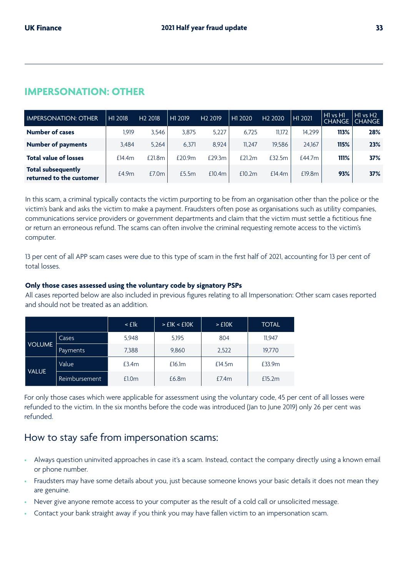## **IMPERSONATION: OTHER**

| <b>IMPERSONATION: OTHER</b>                    | H1 2018 | H <sub>2</sub> 2018 | H1 2019 | H <sub>2</sub> 2019 | 2020<br>H1 | H <sub>2</sub> 2020 | H1 2021 | $H1$ vs $H1$<br><b>CHANGE</b> | $H1$ vs $H2$<br><b>CHANGE</b> |
|------------------------------------------------|---------|---------------------|---------|---------------------|------------|---------------------|---------|-------------------------------|-------------------------------|
| <b>Number of cases</b>                         | 1.919   | 3.546               | 3.875   | 5.227               | 6.725      | 11.172              | 14.299  | 113%                          | 28%                           |
| <b>Number of payments</b>                      | 3.484   | 5.264               | 6.371   | 8.924               | 11.247     | 19.586              | 24.167  | 115%                          | 23%                           |
| <b>Total value of losses</b>                   | £14.4m  | £21.8m              | £20.9m  | £29.3m              | £21.2 $m$  | f32.5m              | £44.7m  | 111%                          | 37%                           |
| Total subsequently<br>returned to the customer | £4.9m   | £7.0m               | £5.5m   | £10.4m              | £10.2m     | £14.4m              | £19.8m  | 93%                           | 37%                           |

In this scam, a criminal typically contacts the victim purporting to be from an organisation other than the police or the victim's bank and asks the victim to make a payment. Fraudsters often pose as organisations such as utility companies, communications service providers or government departments and claim that the victim must settle a fictitious fine or return an erroneous refund. The scams can often involve the criminal requesting remote access to the victim's computer.

13 per cent of all APP scam cases were due to this type of scam in the first half of 2021, accounting for 13 per cent of total losses.

#### **Only those cases assessed using the voluntary code by signatory PSPs**

All cases reported below are also included in previous figures relating to all Impersonation: Other scam cases reported and should not be treated as an addition.

|               |                      | $\leq$ £1 $\mathsf{k}$ | >E1K < 10K | $>$ £10K | <b>TOTAL</b> |
|---------------|----------------------|------------------------|------------|----------|--------------|
|               | Cases                | 5,948                  | 5,195      | 804      | 11,947       |
| <b>VOLUME</b> | Payments             | 7,388                  | 9,860      |          | 19,770       |
| <b>VALUE</b>  | Value                | £3.4m                  | £16.1m     | £14.5m   | £33.9m       |
|               | <b>Reimbursement</b> | £1.0m                  | £6.8m      | E7.4m    | £15.2m       |

For only those cases which were applicable for assessment using the voluntary code, 45 per cent of all losses were refunded to the victim. In the six months before the code was introduced (Jan to June 2019) only 26 per cent was refunded.

### How to stay safe from impersonation scams:

- Always question uninvited approaches in case it's a scam. Instead, contact the company directly using a known email or phone number.
- Fraudsters may have some details about you, just because someone knows your basic details it does not mean they are genuine.
- Never give anyone remote access to your computer as the result of a cold call or unsolicited message.
- Contact your bank straight away if you think you may have fallen victim to an impersonation scam.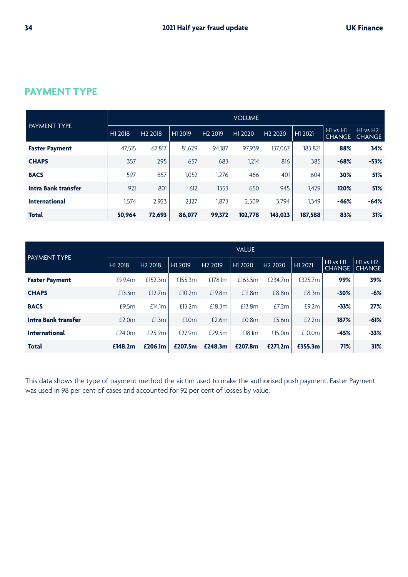|                            |         |                     |         |                     | <b>VOLUME</b> |                     |                     |                                                   |                               |
|----------------------------|---------|---------------------|---------|---------------------|---------------|---------------------|---------------------|---------------------------------------------------|-------------------------------|
| <b>PAYMENT TYPE</b>        | H1 2018 | H <sub>2</sub> 2018 | H1 2019 | H <sub>2</sub> 2019 | H1 2020       | H <sub>2</sub> 2020 | H <sub>1</sub> 2021 | H <sub>1</sub> vs H <sub>1</sub><br><b>CHANGE</b> | $H1$ vs $H2$<br><b>CHANGE</b> |
| <b>Faster Payment</b>      | 47,515  | 67.817              | 81,629  | 94.187              | 97.939        | 137.067             | 183.821             | 88%                                               | 34%                           |
| <b>CHAPS</b>               | 357     | 295                 | 657     | 683                 | 1,214         | 816                 | 385                 | $-68%$                                            | $-53%$                        |
| <b>BACS</b>                | 597     | 857                 | 1.052   | 1,276               | 466           | 401                 | 604                 | 30%                                               | 51%                           |
| <b>Intra Bank transfer</b> | 921     | 801                 | 612     | 1353                | 650           | 945                 | 1.429               | 120%                                              | 51%                           |
| <b>International</b>       | 1,574   | 2.923               | 2,127   | 1.873               | 2.509         | 3.794               | 1.349               | $-46%$                                            | $-64%$                        |
| <b>Total</b>               | 50,964  | 72,693              | 86,077  | 99,372              | 102.778       | 143,023             | 187.588             | 83%                                               | 31%                           |

## **PAYMENT TYPE**

|                       |         | <b>VALUE</b>        |                     |                     |         |                     |         |                           |                               |  |
|-----------------------|---------|---------------------|---------------------|---------------------|---------|---------------------|---------|---------------------------|-------------------------------|--|
| <b>PAYMENT TYPE</b>   | H1 2018 | H <sub>2</sub> 2018 | H <sub>1</sub> 2019 | H <sub>2</sub> 2019 | H1 2020 | H <sub>2</sub> 2020 | H1 2021 | HI vs H1<br><b>CHANGE</b> | $H1$ vs $H2$<br><b>CHANGE</b> |  |
| <b>Faster Payment</b> | £99.4m  | £152.3m             | £155.3m             | £178.1m             | £163.5m | £234.7m             | £325.7m | 99%                       | 39%                           |  |
| <b>CHAPS</b>          | £13.3m  | £12.7m              | £10.2m              | £19.8m              | £11.8m  | £8.8m               | £8.3m   | $-30%$                    | $-6%$                         |  |
| <b>BACS</b>           | £9.5m   | £14.1m              | £13.2m              | £18.3m              | £13.8m  | E7.2m               | £9.2m   | $-33%$                    | 27%                           |  |
| Intra Bank transfer   | £2.0m   | £1.3m               | £1.0 <sub>m</sub>   | £2.6m               | £0.8m   | £5.6m               | £2.2m   | 187%                      | $-61%$                        |  |
| <b>International</b>  | £24.0m  | £25.9m              | £27.9m              | £29.5m              | £18.1m  | £15.0m              | £10.0m  | $-45%$                    | $-33%$                        |  |
| <b>Total</b>          | £148.2m | £206.1m             | £207.5m             | £248.3m             | £207.8m | £271.2m             | £355.3m | 71%                       | 31%                           |  |

This data shows the type of payment method the victim used to make the authorised push payment. Faster Payment was used in 98 per cent of cases and accounted for 92 per cent of losses by value.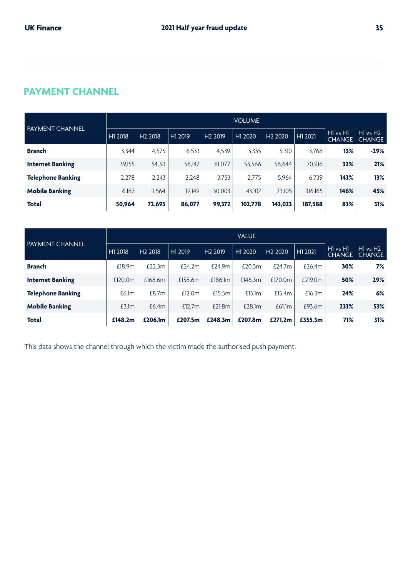## **PAYMENT CHANNEL**

| <b>PAYMENT CHANNEL</b>   | <b>VOLUME</b> |                     |         |                     |         |                     |         |                               |                               |
|--------------------------|---------------|---------------------|---------|---------------------|---------|---------------------|---------|-------------------------------|-------------------------------|
|                          | H1 2018       | H <sub>2</sub> 2018 | H1 2019 | H <sub>2</sub> 2019 | H1 2020 | H <sub>2</sub> 2020 | H1 2021 | $H1$ vs $H1$<br><b>CHANGE</b> | $H1$ vs $H2$<br><b>CHANGE</b> |
| <b>Branch</b>            | 3.344         | 4.575               | 6,533   | 4,539               | 3,335   | 5,310               | 3,768   | 13%                           | $-29%$                        |
| <b>Internet Banking</b>  | 39,155        | 54,311              | 58,147  | 61,077              | 53,566  | 58,644              | 70,916  | 32%                           | 21%                           |
| <b>Telephone Banking</b> | 2,278         | 2.243               | 2.248   | 3,753               | 2,775   | 5,964               | 6.739   | 143%                          | 13%                           |
| <b>Mobile Banking</b>    | 6,187         | 11,564              | 19.149  | 30,003              | 43,102  | 73,105              | 106,165 | 146%                          | 45%                           |
| <b>Total</b>             | 50,964        | 72,693              | 86,077  | 99,372              | 102,778 | 143,023             | 187,588 | 83%                           | 31%                           |

| <b>PAYMENT CHANNEL</b>   | <b>VALUE</b> |                     |         |                     |         |                     |         |                           |                               |
|--------------------------|--------------|---------------------|---------|---------------------|---------|---------------------|---------|---------------------------|-------------------------------|
|                          | H1 2018      | H <sub>2</sub> 2018 | H1 2019 | H <sub>2</sub> 2019 | H1 2020 | H <sub>2</sub> 2020 | H1 2021 | H1 vs H1<br><b>CHANGE</b> | $H1$ vs $H2$<br><b>CHANGE</b> |
| <b>Branch</b>            | £18.9m       | £22.3m              | £24.2m  | £24.9m              | £20.3m  | £24.7m              | £26.4m  | 30%                       | 7%                            |
| <b>Internet Banking</b>  | £120.0m      | £168.6m             | £158.6m | £186.1m             | £146.3m | £170.0m             | £219.0m | 50%                       | 29%                           |
| <b>Telephone Banking</b> | £6.1m        | £8.7m               | £12.0m  | £15.5m              | £13.1m  | £15.4m              | £16.3m  | 24%                       | 6%                            |
| <b>Mobile Banking</b>    | £3.1m        | £6.4m               | £12.7m  | £21.8m              | £28.1m  | £61.1m              | £93.6m  | 233%                      | 53%                           |
| Total                    | £148.2m      | £206.1m             | £207.5m | £248.3m             | £207.8m | £271.2m             | £355.3m | 71%                       | 31%                           |

This data shows the channel through which the victim made the authorised push payment.